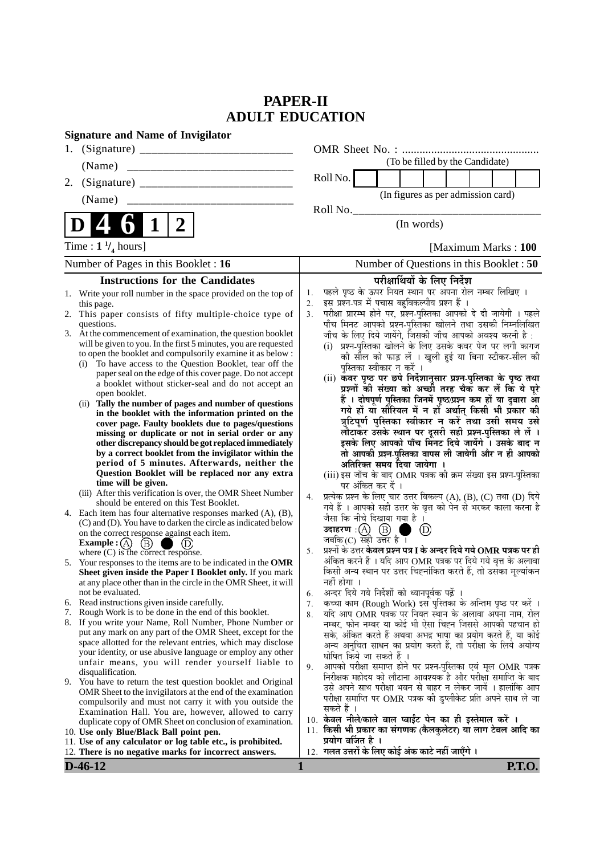# **PAPER-II ADULT EDUCATION**

| <b>Signature and Name of Invigilator</b>                                                                                                                                                                                                                                                                                                                                                                                                                                                                                                                                                                                                                                                                                                                                                                                                                                                                                                                                                                                                                                                                                                   |                                                                                                                                                                                                                                                                                                                                                                                                                                                                                                                                                                                                                                                                                                                                                                                                                                                                                                                                                                                                                                                                                                                                                                                                                                          |
|--------------------------------------------------------------------------------------------------------------------------------------------------------------------------------------------------------------------------------------------------------------------------------------------------------------------------------------------------------------------------------------------------------------------------------------------------------------------------------------------------------------------------------------------------------------------------------------------------------------------------------------------------------------------------------------------------------------------------------------------------------------------------------------------------------------------------------------------------------------------------------------------------------------------------------------------------------------------------------------------------------------------------------------------------------------------------------------------------------------------------------------------|------------------------------------------------------------------------------------------------------------------------------------------------------------------------------------------------------------------------------------------------------------------------------------------------------------------------------------------------------------------------------------------------------------------------------------------------------------------------------------------------------------------------------------------------------------------------------------------------------------------------------------------------------------------------------------------------------------------------------------------------------------------------------------------------------------------------------------------------------------------------------------------------------------------------------------------------------------------------------------------------------------------------------------------------------------------------------------------------------------------------------------------------------------------------------------------------------------------------------------------|
|                                                                                                                                                                                                                                                                                                                                                                                                                                                                                                                                                                                                                                                                                                                                                                                                                                                                                                                                                                                                                                                                                                                                            |                                                                                                                                                                                                                                                                                                                                                                                                                                                                                                                                                                                                                                                                                                                                                                                                                                                                                                                                                                                                                                                                                                                                                                                                                                          |
|                                                                                                                                                                                                                                                                                                                                                                                                                                                                                                                                                                                                                                                                                                                                                                                                                                                                                                                                                                                                                                                                                                                                            | (To be filled by the Candidate)                                                                                                                                                                                                                                                                                                                                                                                                                                                                                                                                                                                                                                                                                                                                                                                                                                                                                                                                                                                                                                                                                                                                                                                                          |
|                                                                                                                                                                                                                                                                                                                                                                                                                                                                                                                                                                                                                                                                                                                                                                                                                                                                                                                                                                                                                                                                                                                                            | Roll No.                                                                                                                                                                                                                                                                                                                                                                                                                                                                                                                                                                                                                                                                                                                                                                                                                                                                                                                                                                                                                                                                                                                                                                                                                                 |
| (Name)                                                                                                                                                                                                                                                                                                                                                                                                                                                                                                                                                                                                                                                                                                                                                                                                                                                                                                                                                                                                                                                                                                                                     | (In figures as per admission card)                                                                                                                                                                                                                                                                                                                                                                                                                                                                                                                                                                                                                                                                                                                                                                                                                                                                                                                                                                                                                                                                                                                                                                                                       |
|                                                                                                                                                                                                                                                                                                                                                                                                                                                                                                                                                                                                                                                                                                                                                                                                                                                                                                                                                                                                                                                                                                                                            | Roll No.                                                                                                                                                                                                                                                                                                                                                                                                                                                                                                                                                                                                                                                                                                                                                                                                                                                                                                                                                                                                                                                                                                                                                                                                                                 |
| $\overline{2}$<br>1<br>D                                                                                                                                                                                                                                                                                                                                                                                                                                                                                                                                                                                                                                                                                                                                                                                                                                                                                                                                                                                                                                                                                                                   | (In words)                                                                                                                                                                                                                                                                                                                                                                                                                                                                                                                                                                                                                                                                                                                                                                                                                                                                                                                                                                                                                                                                                                                                                                                                                               |
| Time : $1 \frac{1}{4}$ hours]                                                                                                                                                                                                                                                                                                                                                                                                                                                                                                                                                                                                                                                                                                                                                                                                                                                                                                                                                                                                                                                                                                              | [Maximum Marks: 100                                                                                                                                                                                                                                                                                                                                                                                                                                                                                                                                                                                                                                                                                                                                                                                                                                                                                                                                                                                                                                                                                                                                                                                                                      |
| Number of Pages in this Booklet : 16                                                                                                                                                                                                                                                                                                                                                                                                                                                                                                                                                                                                                                                                                                                                                                                                                                                                                                                                                                                                                                                                                                       | Number of Questions in this Booklet: 50                                                                                                                                                                                                                                                                                                                                                                                                                                                                                                                                                                                                                                                                                                                                                                                                                                                                                                                                                                                                                                                                                                                                                                                                  |
| <b>Instructions for the Candidates</b>                                                                                                                                                                                                                                                                                                                                                                                                                                                                                                                                                                                                                                                                                                                                                                                                                                                                                                                                                                                                                                                                                                     | परीक्षार्थियों के लिए निर्देश                                                                                                                                                                                                                                                                                                                                                                                                                                                                                                                                                                                                                                                                                                                                                                                                                                                                                                                                                                                                                                                                                                                                                                                                            |
| 1. Write your roll number in the space provided on the top of<br>this page.<br>This paper consists of fifty multiple-choice type of<br>2.<br>questions.<br>3. At the commencement of examination, the question booklet<br>will be given to you. In the first 5 minutes, you are requested<br>to open the booklet and compulsorily examine it as below :<br>To have access to the Question Booklet, tear off the<br>(i)<br>paper seal on the edge of this cover page. Do not accept<br>a booklet without sticker-seal and do not accept an<br>open booklet.<br>(ii) Tally the number of pages and number of questions<br>in the booklet with the information printed on the<br>cover page. Faulty booklets due to pages/questions<br>missing or duplicate or not in serial order or any<br>other discrepancy should be got replaced immediately<br>by a correct booklet from the invigilator within the<br>period of 5 minutes. Afterwards, neither the<br>Question Booklet will be replaced nor any extra<br>time will be given.<br>(iii) After this verification is over, the OMR Sheet Number<br>should be entered on this Test Booklet. | पहले पृष्ठ के ऊपर नियत स्थान पर अपना रोल नम्बर लिखिए ।<br>1.<br>इस प्रश्न-पत्र में पचास बहुविकल्पीय प्रश्न हैं।<br>2.<br>परीक्षा प्रारम्भ होने पर, प्रश्न-पुस्तिका आपको दे दी जायेगी । पहले<br>3.<br>पाँच मिनट आपको प्रश्न-पुस्तिका खोलने तथा उसकी निम्नलिखित<br>जाँच के लिए दिये जायेंगे, जिसकी जाँच आपको अवश्य करनी है :<br>प्रश्न-पुस्तिका खोलने के लिए उसके कवर पेज पर लगी कागज<br>(i)<br>की सील को फाड़ लें । खुली हुई या बिना स्टीकर-सील की<br>पुस्तिका स्वीकार न करें ।<br>(ii) कवर पृष्ठ पर छपे निर्देशानुसार प्रश्न-पुस्तिका के पृष्ठ तथा<br>प्रश्नों की संख्या को अच्छी तरह चैक कर लें कि ये पूरे<br>हैं । दोषपूर्ण पुस्तिका जिनमें पृष्ठ/प्रश्न कम हों या दुबारा आ<br>गये हों यो सीरियल में न हों अर्थात् किसी भी प्रकार की<br>त्रुटिपूर्ण पुस्तिका स्वीकार न करें तथा उसी समय उसे<br>लौटाकर उसके स्थान पर दूसरी सही प्रश्न-पुस्तिका ले लें ।<br>इसके लिए आपको पाँच मिनट दिये जायेंगे । उसके बाद न<br>तो आपकी प्रश्न-पुस्तिका वापस ली जायेगी और न ही आपको<br>अतिरिक्त समय दिया जायेगा ।<br>(iii) इस जाँच के बाद OMR पत्रक की क्रम संख्या इस प्रश्न-पुस्तिका<br>पर अंकित कर दें ।<br>प्रत्येक प्रश्न के लिए चार उत्तर विकल्प (A), (B), (C) तथा (D) दिये<br>4.<br>गये हैं । आपको सही उत्तर के वृत्त को पेन से भरकर काला करना है |
| 4. Each item has four alternative responses marked (A), (B),<br>(C) and (D). You have to darken the circle as indicated below<br>on the correct response against each item.<br>Example : (A) $(B)$<br>(D)<br>where $(C)$ is the correct response.                                                                                                                                                                                                                                                                                                                                                                                                                                                                                                                                                                                                                                                                                                                                                                                                                                                                                          | जैसा कि नीचे दिखाया गया है।<br>उदाहरण: $(A)$ $(B)$ ।<br>$\circledcirc$<br>जबकि $(C)$ सही उत्तर है ।<br>प्रश्नों के उत्तर <b>केवल प्रश्न पत्र I के अन्दर दिये गये OMR पत्रक पर ही</b><br>5.                                                                                                                                                                                                                                                                                                                                                                                                                                                                                                                                                                                                                                                                                                                                                                                                                                                                                                                                                                                                                                               |
| 5. Your responses to the items are to be indicated in the OMR<br>Sheet given inside the Paper I Booklet only. If you mark<br>at any place other than in the circle in the OMR Sheet, it will<br>not be evaluated.                                                                                                                                                                                                                                                                                                                                                                                                                                                                                                                                                                                                                                                                                                                                                                                                                                                                                                                          | अंकित करने हैं । यदि आप OMR पत्रक पर दिये गये वृत्त के अलावा<br>किसी अन्य स्थान पर उत्तर चिह्नांकित करते हैं, तो उसका मूल्यांकन<br>नहीं होगा ।<br>अन्दर दिये गये निर्देशों को ध्यानपूर्वक पढ़ें<br>6.                                                                                                                                                                                                                                                                                                                                                                                                                                                                                                                                                                                                                                                                                                                                                                                                                                                                                                                                                                                                                                    |
| 6. Read instructions given inside carefully.                                                                                                                                                                                                                                                                                                                                                                                                                                                                                                                                                                                                                                                                                                                                                                                                                                                                                                                                                                                                                                                                                               | कच्चा काम (Rough Work) इस पुस्तिका के अन्तिम पृष्ठ पर करें ।<br>7.                                                                                                                                                                                                                                                                                                                                                                                                                                                                                                                                                                                                                                                                                                                                                                                                                                                                                                                                                                                                                                                                                                                                                                       |
| Rough Work is to be done in the end of this booklet.<br>8. If you write your Name, Roll Number, Phone Number or                                                                                                                                                                                                                                                                                                                                                                                                                                                                                                                                                                                                                                                                                                                                                                                                                                                                                                                                                                                                                            | यदि आप OMR पत्रक पर नियत स्थान के अलावा अपना नाम, रोल<br>8.<br>नम्बर, फोन नम्बर या कोई भी ऐसा चिह्न जिससे आपकी पहचान हो                                                                                                                                                                                                                                                                                                                                                                                                                                                                                                                                                                                                                                                                                                                                                                                                                                                                                                                                                                                                                                                                                                                  |
| put any mark on any part of the OMR Sheet, except for the<br>space allotted for the relevant entries, which may disclose<br>your identity, or use abusive language or employ any other<br>unfair means, you will render yourself liable to<br>disqualification.                                                                                                                                                                                                                                                                                                                                                                                                                                                                                                                                                                                                                                                                                                                                                                                                                                                                            | सके, अंकित करते हैं अथवा अभद्र भाषा का प्रयोग करते हैं, या कोई<br>अन्य अनुचित साधन का प्रयोग करते हैं, तो परीक्षा के लिये अयोग्य<br>घोषित किये जा सकते हैं ।<br>आपको परीक्षा समाप्त होने पर प्रश्न-पुस्तिका एवं मूल OMR पत्रक<br>9.                                                                                                                                                                                                                                                                                                                                                                                                                                                                                                                                                                                                                                                                                                                                                                                                                                                                                                                                                                                                      |
| 9. You have to return the test question booklet and Original<br>OMR Sheet to the invigilators at the end of the examination<br>compulsorily and must not carry it with you outside the<br>Examination Hall. You are, however, allowed to carry<br>duplicate copy of OMR Sheet on conclusion of examination.                                                                                                                                                                                                                                                                                                                                                                                                                                                                                                                                                                                                                                                                                                                                                                                                                                | निरीक्षक महोदय को लौटाना आवश्यक है और परीक्षा समाप्ति के बाद<br>उसे अपने साथ परीक्षा भवन से बाहर न लेकर जायें । हालांकि आप<br>परीक्षा समाप्ति पर OMR पत्रक की डुप्लीकेट प्रति अपने साथ ले जा<br>सकते हैं ।<br>10. केवल नीले/काले बाल प्वाईंट पेन का ही इस्तेमाल करें ।                                                                                                                                                                                                                                                                                                                                                                                                                                                                                                                                                                                                                                                                                                                                                                                                                                                                                                                                                                   |
| 10. Use only Blue/Black Ball point pen.<br>11. Use of any calculator or log table etc., is prohibited.                                                                                                                                                                                                                                                                                                                                                                                                                                                                                                                                                                                                                                                                                                                                                                                                                                                                                                                                                                                                                                     | 11. किसी भी प्रकार का संगणक (कैलकुलेटर) या लाग टेबल आदि का<br>प्रयोग वर्जित है ।                                                                                                                                                                                                                                                                                                                                                                                                                                                                                                                                                                                                                                                                                                                                                                                                                                                                                                                                                                                                                                                                                                                                                         |
| 12. There is no negative marks for incorrect answers.                                                                                                                                                                                                                                                                                                                                                                                                                                                                                                                                                                                                                                                                                                                                                                                                                                                                                                                                                                                                                                                                                      | 12. गलत उत्तरों के लिए कोई अंक काटे नहीं जाएँगे ।                                                                                                                                                                                                                                                                                                                                                                                                                                                                                                                                                                                                                                                                                                                                                                                                                                                                                                                                                                                                                                                                                                                                                                                        |
| $D-46-12$                                                                                                                                                                                                                                                                                                                                                                                                                                                                                                                                                                                                                                                                                                                                                                                                                                                                                                                                                                                                                                                                                                                                  | 1<br><b>P.T.O.</b>                                                                                                                                                                                                                                                                                                                                                                                                                                                                                                                                                                                                                                                                                                                                                                                                                                                                                                                                                                                                                                                                                                                                                                                                                       |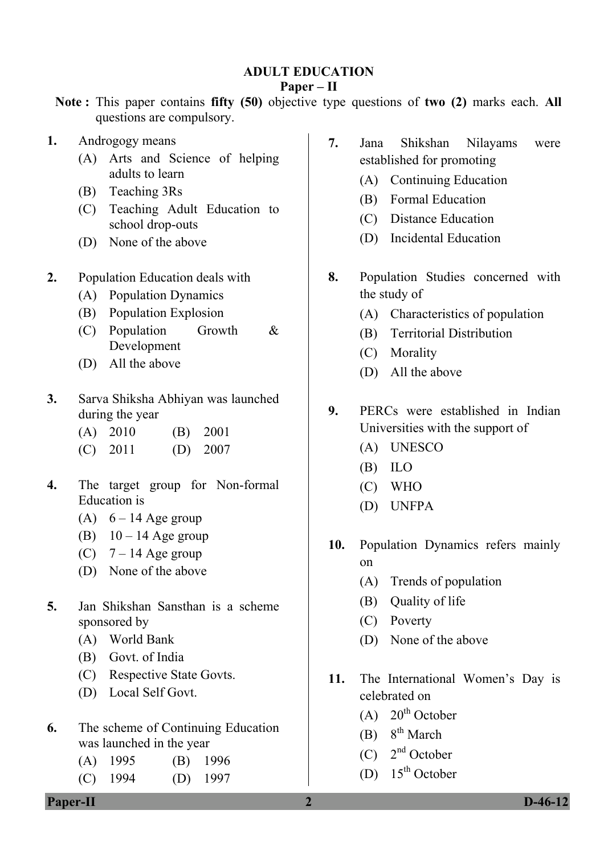### **ADULT EDUCATION**

### **Paper – II**

**Note :** This paper contains **fifty (50)** objective type questions of **two (2)** marks each. **All** questions are compulsory.

- **1.** Androgogy means
	- (A) Arts and Science of helping adults to learn
	- (B) Teaching 3Rs
	- (C) Teaching Adult Education to school drop-outs
	- (D) None of the above
- **2.** Population Education deals with
	- (A) Population Dynamics
	- (B) Population Explosion
	- (C) Population Growth & Development
	- (D) All the above
- **3.** Sarva Shiksha Abhiyan was launched during the year
	- (A) 2010 (B) 2001
	- (C) 2011 (D) 2007
- **4.** The target group for Non-formal Education is
	- (A)  $6 14$  Age group
	- (B)  $10 14$  Age group
	- (C)  $7 14$  Age group
	- (D) None of the above
- **5.** Jan Shikshan Sansthan is a scheme sponsored by
	- (A) World Bank
	- (B) Govt. of India
	- (C) Respective State Govts.
	- (D) Local Self Govt.
- **6.** The scheme of Continuing Education was launched in the year
	- (A) 1995 (B) 1996
	- (C) 1994 (D) 1997
- **7.** Jana Shikshan Nilayams were established for promoting
	- (A) Continuing Education
	- (B) Formal Education
	- (C) Distance Education
	- (D) Incidental Education
- **8.** Population Studies concerned with the study of
	- (A) Characteristics of population
	- (B) Territorial Distribution
	- (C) Morality
	- (D) All the above
- **9.** PERCs were established in Indian Universities with the support of
	- (A) UNESCO
	- (B) ILO
	- (C) WHO
	- (D) UNFPA
- **10.** Population Dynamics refers mainly on
	- (A) Trends of population
	- (B) Quality of life
	- (C) Poverty
	- (D) None of the above
- **11.** The International Women's Day is celebrated on
	- $(A)$  20<sup>th</sup> October
	- (B)  $8^{th}$  March
	- $(C)$   $2<sup>nd</sup>$  October
	- (D)  $15<sup>th</sup>$  October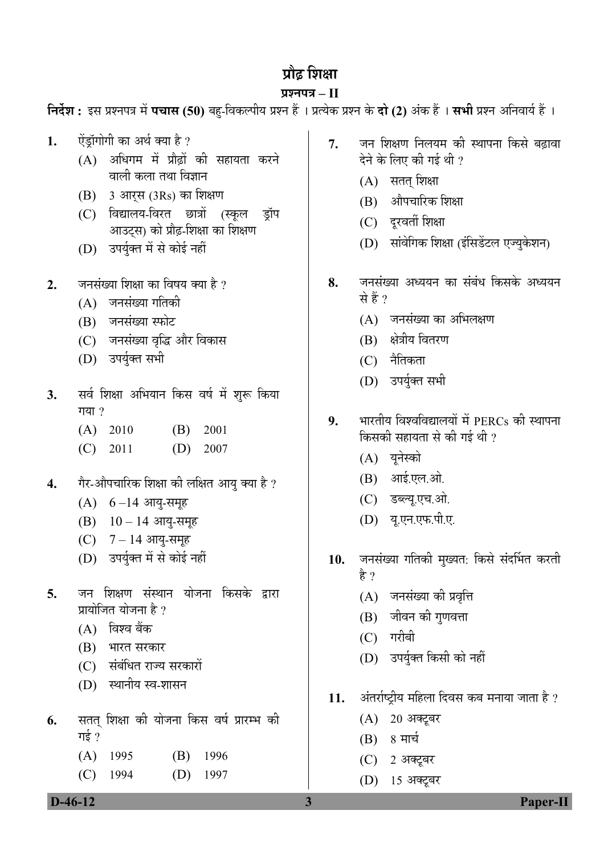# प्रौढ शिक्षा

### **¯ÖÏ¿®Ö¯Ö¡Ö – II**

**निर्देश :** इस प्रश्नपत्र में **पचास (50)** बह-विकल्पीय प्रश्न हैं । प्रत्येक प्रश्न के **दो (2)** अंक हैं । सभी प्रश्न अनिवार्य हैं ।

- 1. ऐंड़ॉगोगी का अर्थ क्या है ?
	- $(A)$  अधिगम में प्रौढों की सहायता करने वाली कला तथा विज्ञान
	- $(B)$  3 आरस (3Rs) का शिक्षण
	- (C) विद्यालय-विरत छात्रों (स्कुल डॉप आउटस) को प्रौढ़-शिक्षा का शिक्षण
	- (D) उपर्युक्त में से कोई नहीं
- **2.** जनसंख्या शिक्षा का विषय क्या है ?
	- $(A)$  जनसंख्या गतिकी
	- (B) जनसंख्या स्फोट
	- (C) जनसंख्या वृद्धि और विकास
	- (D) उपर्युक्त सभी
- 3. सर्व शिक्षा अभियान किस वर्ष में शुरू किया गया $\gamma$ 
	- (A) 2010 (B) 2001
	- (C) 2011 (D) 2007
- 4. गैर-औपचारिक शिक्षा की लक्षित आयु क्या है ?
	- $(A) 6 14$  आयु-समूह
	- $(B)$  10 14 आयु-समूह
	- $(C)$  7 14 आयु-समूह
	- (D) उपर्युक्त में से कोई नहीं
- **5**. जन शिक्षण संस्थान योजना किसके द्रारा प्रायोजित योजना है ?
	- $(A)$  विश्व बैंक
	- (B) भारत सरकार
	- (C) संबंधित राज्य सरकारों
	- (D) स्थानीय स्व-शासन
- **6.** सतत् शिक्षा की योजना किस वर्ष प्रारम्भ की गई $\,$  ?
	- (A) 1995 (B) 1996 (C) 1994 (D) 1997
- 7. जन शिक्षण निलयम की स्थापना किसे बढावा देने के लिए की गई थी ?
	- $(A)$  सतत शिक्षा
	- (B) औपचारिक शिक्षा
	- (C) दरवर्ती शिक्षा
	- (D) सांवेगिक शिक्षा (इंसिडेंटल एज्यकेशन)
- 8. जनसंख्या अध्ययन का संबंध किसके अध्ययन से हैं ?
	- $(A)$  ननसंख्या का अभिलक्षण
	- (B) क्षेत्रीय वितरण
	- (C) नैतिकता
	- (D) उपर्युक्त सभी
- **9.** भारतीय विश्वविद्यालयों में PERCs की स्थापना किसकी सहायता से की गई थी ?
	- (A) यूनेस्को
	- $(B)$  आई.एल.ओ.
	- (C) डब्ल्यू.एच.ओ.
	- (D) यू.एन.एफ.पी.ए.
- 10. जनसंख्या गतिकी मुख्यत: किसे संदर्भित करती है ?
	- (A) जनसंख्या की प्रवृत्ति
	- (B) जीवन की गुणवत्ता
	- $(C)$  गरीबी
	- (D) उपर्युक्त किसी को नहीं
- 11. अंतर्राष्ट्रीय महिला दिवस कब मनाया जाता है ?
	- (A) 20 अक्टूबर
	- $(B) 8$  मार्च
	- (C) 2 अक्टूबर
	- (D) 15 अक्टूबर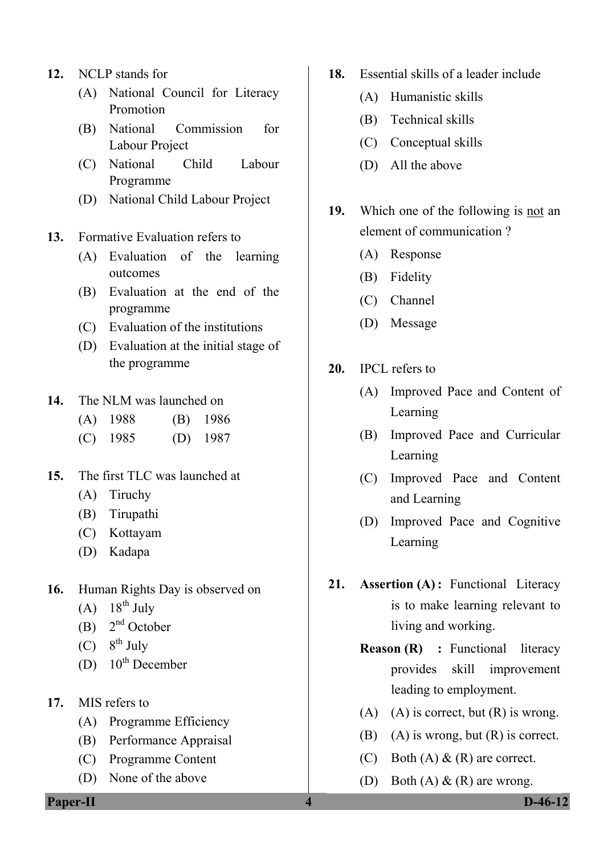- **12.** NCLP stands for
	- (A) National Council for Literacy Promotion
	- (B) National Commission for Labour Project
	- (C) National Child Labour Programme
	- (D) National Child Labour Project
- **13.** Formative Evaluation refers to
	- (A) Evaluation of the learning outcomes
	- (B) Evaluation at the end of the programme
	- (C) Evaluation of the institutions
	- (D) Evaluation at the initial stage of the programme
- **14.** The NLM was launched on
	- (A) 1988 (B) 1986
	- (C) 1985 (D) 1987
- **15.** The first TLC was launched at
	- (A) Tiruchy
	- (B) Tirupathi
	- (C) Kottayam
	- (D) Kadapa
- **16.** Human Rights Day is observed on
	- $(A)$  18<sup>th</sup> July
	- (B)  $2<sup>nd</sup> October$
	- $(C)$  8<sup>th</sup> July
	- (D)  $10^{th}$  December
- **17.** MIS refers to
	- (A) Programme Efficiency
	- (B) Performance Appraisal
	- (C) Programme Content
	- (D) None of the above

**Paper-II** D-46-12

- **18.** Essential skills of a leader include
	- (A) Humanistic skills
	- (B) Technical skills
	- (C) Conceptual skills
	- (D) All the above
- 19. Which one of the following is not an element of communication ?
	- (A) Response
	- (B) Fidelity
	- (C) Channel
	- (D) Message
- **20.** IPCL refers to
	- (A) Improved Pace and Content of Learning
	- (B) Improved Pace and Curricular Learning
	- (C) Improved Pace and Content and Learning
	- (D) Improved Pace and Cognitive Learning
- **21. Assertion (A) :** Functional Literacy is to make learning relevant to living and working.
	- **Reason (R) : Functional literacy** provides skill improvement leading to employment.
	- (A) (A) is correct, but  $(R)$  is wrong.
	- (B) (A) is wrong, but  $(R)$  is correct.
	- (C) Both  $(A) \& R$  are correct.
	- (D) Both  $(A) \& R$  are wrong.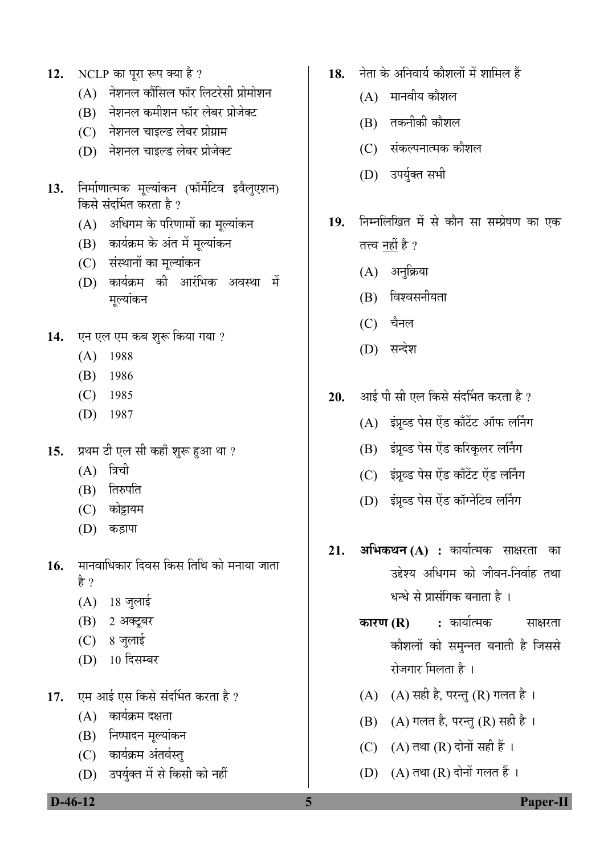- 12. NCLP का पूरा रूप क्या है ?
	- $(A)$  नेशनल कौंसिल फॉर लिटरेसी प्रोमोशन
	- $(B)$  नेशनल कमीशन फॉर लेबर प्रोजेक्ट
	- (C) नेशनल चाइल्ड लेबर प्रोग्राम
	- (D) नेशनल चाइल्ड लेबर प्रोजेक्ट
- 13. निर्माणात्मक मूल्यांकन (फॉर्मेटिव इवैलुएशन) किसे संदर्भित करता है ?
	- $(A)$  अधिगम के परिणामों का मुल्यांकन
	- (B) कार्यक्रम के अंत में मूल्यांकन
	- (C) संस्थानों का मुल्यांकन
	- (D) कार्यक्रम की आरंभिक अवस्था में मल्यांकन
- 14. **एन एल एम कब शुरू किया गया** ?
	- (A) 1988
	- (B) 1986
	- (C) 1985
	- (D) 1987
- 15. प्रथम टी एल सी कहाँ शुरू हुआ था ?
	- $(A)$  त्रिची
	- (B) तिरुपति
	- (C) कोझयम
	- (D) कड़ापा
- 16. मानवाधिकार दिवस किस तिथि को मनाया जाता हे ?
	- $(A)$  18 जुलाई
	- (B) 2 अक्टूबर
	- (C) 8 जुलाई
	- (D) 10 दिसम्बर
- 17. एम आई एस किसे संदर्भित करता है ?
	- $(A)$  कार्यक्रम दक्षता
	- (B) निष्पादन मुल्यांकन
	- (C) कार्यक्रम अंतर्वस्तु
	- (D) उपर्युक्त में से किसी को नहीं
- 18. नेता के अनिवार्य कौशलों में शामिल हैं
	- $(A)$  मानवीय कौशल
	- $(B)$  तकनीकी कौशल
	- (C) संकल्पनात्मक कौशल
	- (D) उपर्युक्त सभी
- 19. निम्नलिखित में से कौन सा सम्प्रेषण का एक तत्त्व नहीं है ?
	- (A) अनुक्रिया
	- $(B)$  विश्वसनीयता
	- $(C)$  चैनल
	- (D) सन्देश
- **20.** आई पी सी एल किसे संदर्भित करता है ?
	- $(A)$  इंप्रव्ड पेस ऐंड काँटेंट ऑफ लर्निंग
	- (B) इंग्रूव्ड पेस ऐंड करिकूलर लर्निंग
	- (C) इंग्रब्ड पेस ऐंड काँटेंट ऐंड लर्निंग
	- (D) इंप्रव्ड पेस ऐंड कॉग्नेटिव लर्निंग
- **21. अभिकथन (A) :** कार्यात्मक साक्षरता का उद्देश्य अधिगम को जीवन-निर्वाह तथा धन्धे से प्रासंगिक बनाता है ।
	- **कारण (R) :** कार्यात्मक साक्षरता कौशलों को समुन्नत बनाती है जिससे रोजगार मिलता है ।
	- $(A)$   $(A)$  सही है, परन्तु  $(R)$  गलत है।
	- $(B)$   $(A)$  गलत है, परन्तु  $(R)$  सही है।
	- $(C)$   $(A)$  तथा  $(R)$  दोनों सही हैं ।
	- $(D)$   $(A)$  तथा  $(R)$  दोनों गलत हैं ।

 **D-46-12 5 Paper-II**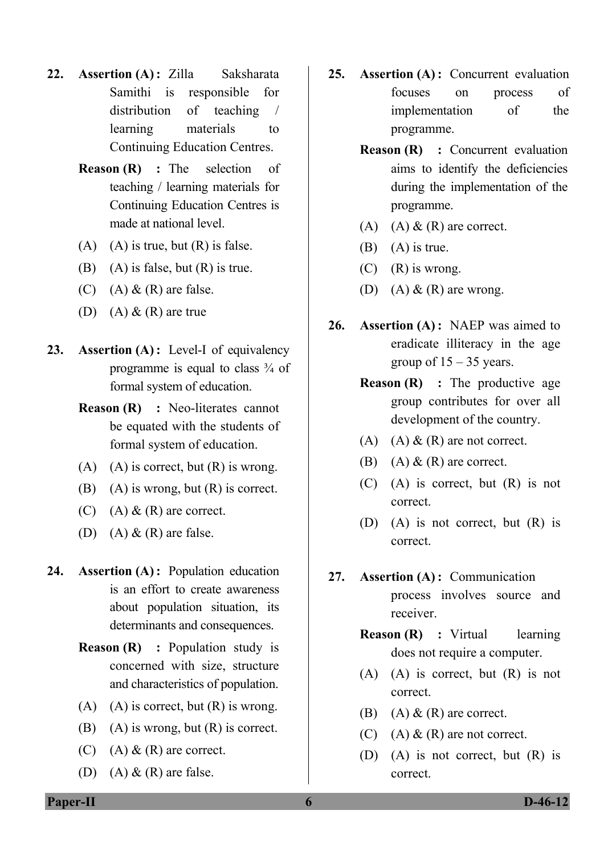- **22. Assertion (A) :** Zilla Saksharata Samithi is responsible for distribution of teaching / learning materials to Continuing Education Centres.
	- **Reason (R)** : The selection of teaching / learning materials for Continuing Education Centres is made at national level.
	- $(A)$   $(A)$  is true, but  $(R)$  is false.
	- (B) (A) is false, but  $(R)$  is true.
	- (C) (A)  $\&$  (R) are false.
	- (D) (A)  $\&$  (R) are true
- **23. Assertion (A) :** Level-I of equivalency programme is equal to class  $\frac{3}{4}$  of formal system of education.
	- **Reason (R) : Neo-literates cannot** be equated with the students of formal system of education.
	- $(A)$   $(A)$  is correct, but  $(R)$  is wrong.
	- (B) (A) is wrong, but  $(R)$  is correct.
	- (C) (A)  $\&$  (R) are correct.
	- (D) (A)  $\&$  (R) are false.
- **24. Assertion (A) :** Population education is an effort to create awareness about population situation, its determinants and consequences.
	- **Reason (R)** : Population study is concerned with size, structure and characteristics of population.
	- (A) (A) is correct, but  $(R)$  is wrong.
	- $(B)$  (A) is wrong, but  $(R)$  is correct.
	- (C) (A)  $\&$  (R) are correct.
	- (D) (A)  $\&$  (R) are false.
- **25. Assertion (A) :** Concurrent evaluation focuses on process of implementation of the programme.
	- **Reason (R) : Concurrent evaluation** aims to identify the deficiencies during the implementation of the programme.
	- (A) (A)  $\&$  (R) are correct.
	- $(B)$   $(A)$  is true.
	- $(C)$   $(R)$  is wrong.
	- (D) (A)  $\&$  (R) are wrong.
- **26. Assertion (A) :** NAEP was aimed to eradicate illiteracy in the age group of  $15 - 35$  years.
	- **Reason (R)** : The productive age group contributes for over all development of the country.
	- (A)  $(A)$  &  $(R)$  are not correct.
	- (B) (A)  $\&$  (R) are correct.
	- (C) (A) is correct, but (R) is not correct.
	- (D) (A) is not correct, but (R) is correct.
- **27. Assertion (A) :** Communication process involves source and receiver.
	- **Reason (R)** : Virtual learning does not require a computer.
	- (A) (A) is correct, but (R) is not correct.
	- (B) (A)  $\&$  (R) are correct.
	- (C) (A)  $\&$  (R) are not correct.
	- (D) (A) is not correct, but (R) is correct.

**Paper-II 6 D-46-12**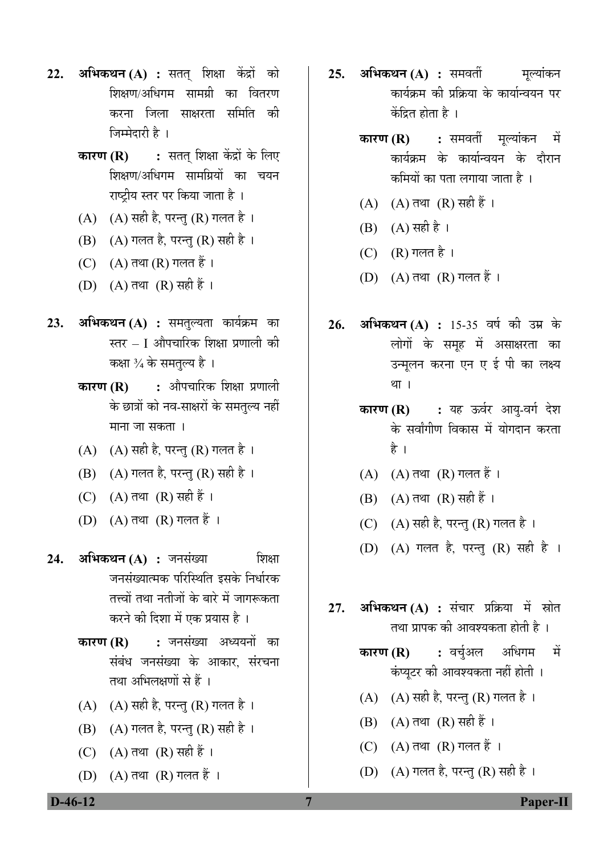- **22. अभिकथन (A) :** सतत् शिक्षा केंद्रों को शिक्षण/अधिगम सामग्री का वितरण करना जिला साक्षरता समिति की जिम्मेदारी है ।
	- **कारण (R) :** सतत् शिक्षा केंद्रों के लिए शिक्षण/अधिगम सामग्रियों का चयन राष्ट्रीय स्तर पर किया जाता है<sup>।</sup>
	- $(A)$   $(A)$  सही है, परन्तु  $(R)$  गलत है।
	- (B) (A) गलत है, परन्तु (R) सही है।
	- $(C)$   $(A)$  तथा  $(R)$  गलत हैं।
	- $(D)$   $(A)$  तथा  $(R)$  सही हैं ।
- 23. अभिकथन (A) : समतुल्यता कार्यक्रम का स्तर – I औपचारिक शिक्षा प्रणाली की कक्षा ¾ के समतुल्य है ।
	- **कारण (R) :** औपचारिक शिक्षा प्रणाली के छात्रों को नव-साक्षरों के समतुल्य नहीं माना जा सकता ।
	- (A)  $(A)$  सही है, परन्तु (R) गलत है।
	- $(B)$  (A) गलत है, परन्तु (R) सही है।
	- (C)  $(A)$  तथा  $(R)$  सही हैं।
	- $(D)$   $(A)$  तथा  $(R)$  गलत हैं ।
- **24. अभिकथन (A) :** जनसंख्या शिक्षा जनसंख्यात्मक परिस्थिति इसके निर्धारक तत्त्वों तथा नतीजों के बारे में जागरूकता करने की दिशा में एक प्रयास है ।
	- **कारण (R) :** जनसंख्या अध्ययनों का संबंध जनसंख्या के आकार, संरचना तथा अभिलक्षणों से हैं ।
	- $(A)$   $(A)$  सही है, परन्तु  $(R)$  गलत है।
	- $(B)$   $(A)$  गलत है, परन्तु  $(R)$  सही है।
	- (C)  $(A)$  तथा  $(R)$  सही हैं।
	- $(D)$   $(A)$  तथा  $(R)$  गलत हैं ।
- **25. अभिकथन (A) :** समवर्ती मूल्यांकन कार्यक्रम की प्रक्रिया के कार्यान्वयन पर केंद्रित होता है $\perp$ 
	- **कारण (R) :** समवर्ती मूल्यांकन में कार्यक्रम के कार्यान्वयन के दौरान कमियों का पता लगाया जाता है ।
	- $(A)$   $(A)$  तथा  $(R)$  सही हैं।
	- $(B)$   $(A)$  सही है ।
	- $(C)$   $(R)$  गलत है ।
	- $(D)$   $(A)$  तथा  $(R)$  गलत हैं।
- 26. अभिकथन (A) : 15-35 वर्ष की उम्र के लोगों के समह में असाक्षरता का उन्मुलन करना एन ए ई पी का लक्ष्य था ।
	- **कारण (R) :** यह ऊर्वर आयु-वर्ग देश के सर्वांगीण विकास में योगदान करता है ।
	- $(A)$   $(A)$  तथा  $(R)$  गलत हैं।
	- $(B)$   $(A)$  तथा  $(R)$  सही हैं।
	- (C)  $(A)$  सही है, परन्तु (R) गलत है।
	- (D) (A) गलत है, परन्तु (R) सही है ।
- **27. अभिकथन (A) :** संचार प्रक्रिया में स्रोत तथा प्रापक की आवश्यकता होती है ।
	- **कारण (R) :** वर्च्अल अधिगम में कंप्युटर की आवश्यकता नहीं होती ।
	- $(A)$   $(A)$  सही है, परन्तु  $(R)$  गलत है।
	- $(B)$   $(A)$  तथा  $(R)$  सही हैं ।
	- $(C)$   $(A)$  तथा  $(R)$  गलत हैं ।
	- (D)  $(A)$  गलत है, परन्तु (R) सही है।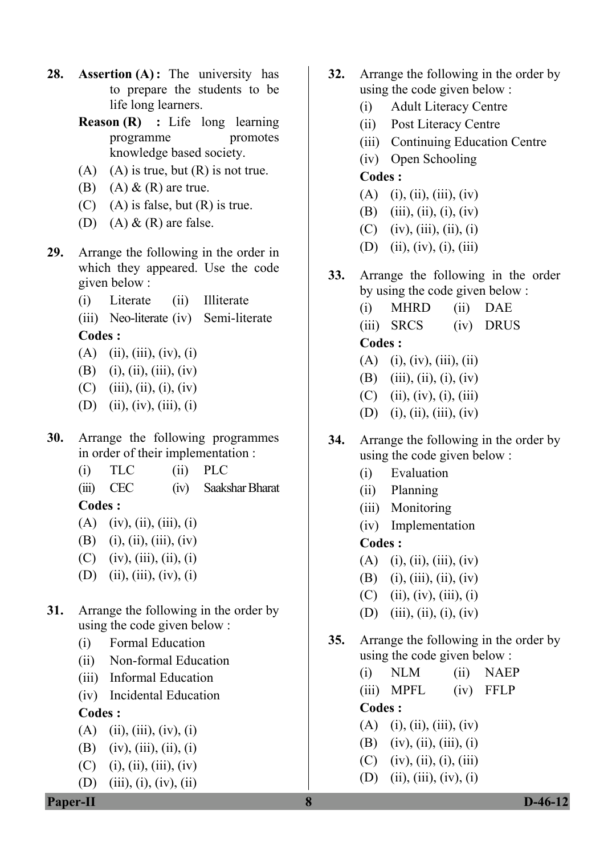- **28. Assertion (A):** The university has to prepare the students to be life long learners.
	- **Reason (R) :** Life long learning programme promotes knowledge based society.
	- $(A)$   $(A)$  is true, but  $(R)$  is not true.
	- (B) (A)  $\&$  (R) are true.
	- $(C)$  (A) is false, but  $(R)$  is true.
	- (D) (A)  $\&$  (R) are false.
- **29.** Arrange the following in the order in which they appeared. Use the code given below :
	- (i) Literate (ii) Illiterate
	- (iii) Neo-literate (iv) Semi-literate **Codes :**

- $(A)$  (ii), (iii), (iv), (i)
- (B) (i), (ii), (iii), (iv)
- $(C)$  (iii), (ii), (i), (iv)
- (D) (ii), (iv), (iii), (i)
- **30.** Arrange the following programmes in order of their implementation :
	- (i) TLC (ii) PLC
	- (iii) CEC (iv) Saakshar Bharat **Codes :**
	- $(A)$  (iv), (ii), (iii), (i)
	- (B) (i), (ii), (iii), (iv)
	- $(C)$  (iv), (iii), (ii), (i)
	- (D) (ii), (iii), (iv), (i)
- **31.** Arrange the following in the order by using the code given below :
	- (i) Formal Education
	- (ii) Non-formal Education
	- (iii) Informal Education
	- (iv) Incidental Education

**Codes :** 

- $(A)$  (ii), (iii), (iv), (i)
- (B) (iv), (iii), (ii), (i)
- $(C)$  (i), (ii), (iii), (iv)

(D) (iii), (i), (iv), (ii)

- **32.** Arrange the following in the order by using the code given below :
	- (i) Adult Literacy Centre
	- (ii) Post Literacy Centre
	- (iii) Continuing Education Centre
	- (iv) Open Schooling

### **Codes :**

- $(A)$  (i), (ii), (iii), (iv)
- (B) (iii), (ii), (i), (iv)
- (C) (iv), (iii), (ii), (i)
- (D) (ii), (iv), (i), (iii)
- **33.** Arrange the following in the order by using the code given below :
	- (i) MHRD (ii) DAE
	- (iii) SRCS (iv) DRUS **Codes :**
	- $(A)$  (i), (iv), (iii), (ii)
	- (B) (iii), (ii), (i), (iv)
	- $(C)$  (ii), (iv), (i), (iii)
	- (D) (i), (ii), (iii), (iv)
- **34.** Arrange the following in the order by using the code given below :
	- (i) Evaluation
	- (ii) Planning
	- (iii) Monitoring
	- (iv) Implementation

## **Codes :**

- $(A)$  (i), (ii), (iii), (iv)
- (B) (i), (iii), (ii), (iv)
- $(C)$  (ii), (iv), (iii), (i)
- (D) (iii), (ii), (i), (iv)
- **35.** Arrange the following in the order by using the code given below :
	- (i) NLM (ii) NAEP (iii) MPFL (iv) FFLP **Codes :**   $(A)$  (i), (ii), (iii), (iv) (B) (iv), (ii), (iii), (i)
	- $(C)$  (iv), (ii), (i), (iii)
	- (D) (ii), (iii), (iv), (i)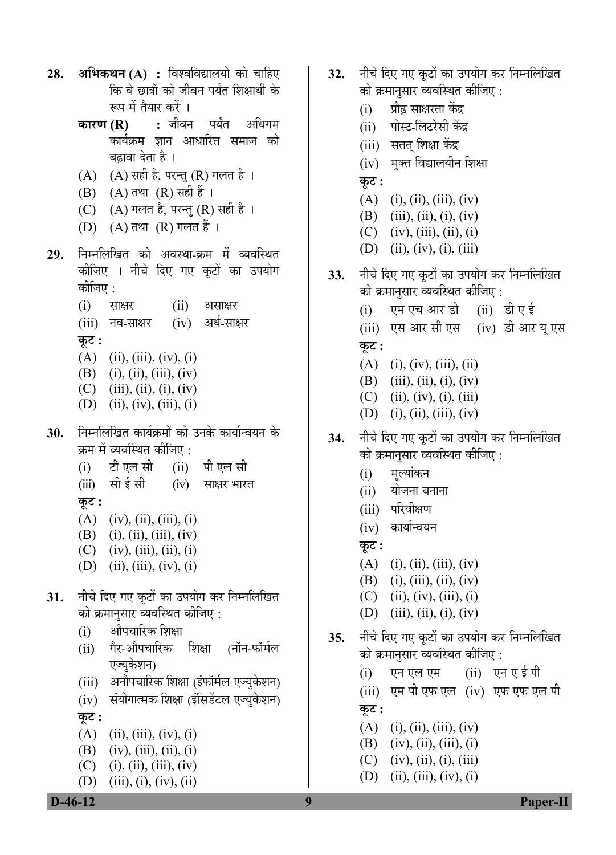- **28. अभिकथन (A) :** विश्वविद्यालयों को चाहिए कि वे छात्रों को जीवन पर्यंत शिक्षार्थी के रूप में तैयार करें ।
	- **कारण (R) :** जीवन पर्यंत अधिगम कार्यक्रम ज्ञान आधारित समाज को बढावा देता है ।
	- (A)  $(A)$  सही है, परन्तु (R) गलत है।
	- (B)  $(A)$  तथा  $(R)$  सही हैं ।
	- (C)  $(A)$  गलत है, परन्तु (R) सही है ।
	- $(D)$   $(A)$  तथा  $(R)$  गलत हैं ।
- 29. निम्नलिखित को अवस्था-क्रम में व्यवस्थित कोजिए । नीचे दिए गए कूटों का उपयोग कोजिए :
	- $(i)$  साक्षर  $(ii)$  असाक्षर (iii) नव-साक्षर (iv) अर्ध-साक्षर **Ûæú™ü :**
	- $(A)$  (ii), (iii), (iv), (i)
	- (B) (i), (ii), (iii), (iv)
	- $(C)$  (iii), (ii), (i), (iv)
	- (D) (ii), (iv), (iii), (i)
- 30. निम्नलिखित कार्यक्रमों को उनके कार्यान्वयन के क्रम में व्यवस्थित कीजिए :
	- (i) टी एल सी (ii) पी एल सी
	- (iii) सीईसी (iv) साक्षर भारत **Ûæú™ü :**
	- $(A)$  (iv), (ii), (iii), (i)
	- (B) (i), (ii), (iii), (iv)
	- $(C)$  (iv), (iii), (ii), (i)
	- (D) (ii), (iii), (iv), (i)
- **31.** नीचे दिए गए कुटों का उपयोग कर निम्नलिखित <u>को क्रमानु</u>सार व्यवस्थित कीजिए :
	- (i) औपचारिक शिक्षा
	- (ii) गैर-औपचारिक शिक्षा (नॉन-फॉर्मल एज्युकेशन)
	- (iii) अनौपचारिक शिक्षा (इंफॉर्मल एज्युकेशन)
	- (iv) संयोगात्मक शिक्षा (इंसिडेंटल एज्यकेशन) **Ûæú™ü :**
	- (A) (ii), (iii), (iv), (i)
	- (B) (iv), (iii), (ii), (i)
	- $(C)$  (i), (ii), (iii), (iv)

(D) (iii), (i), (iv), (ii)

- 32. नीचे दिए गए कूटों का उपयोग कर निम्नलिखित को क्रमानुसार व्यवस्थित कीजिए :
	- (i) प्रौढ़ साक्षरता केंद्र
	- (ii) पोस्ट-लिटरेसी केंद्र
	- (iii) सतत् शिक्षा केंद्र
	- (iv) मुक्त विद्यालयीन शिक्षा
	- **Ûæú™ü :**
	- $(A)$  (i), (ii), (iii), (iv)
	- (B) (iii), (ii), (i), (iv)
	- $(C)$  (iv), (iii), (ii), (i)
	- (D) (ii), (iv), (i), (iii)
- 33. नीचे दिए गए कूटों का उपयोग कर निम्नलिखित को क्रमानुसार व्यवस्थित कीजिए :
	- $(i)$  एम एच आर डी  $(ii)$  डी ए ई
	- $(iii)$  एस आर सी एस  $(iv)$  डी आर यु एस **Ûæú™ü :**
	- (A) (i), (iv), (iii), (ii)
	- (B) (iii), (ii), (i), (iv)
	- $(C)$  (ii), (iv), (i), (iii)
	- (D) (i), (ii), (iii), (iv)
- 34. नीचे दिए गए कूटों का उपयोग कर निम्नलिखित को क्रमानुसार व्यवस्थित कीजिए :
	- $(i)$  मूल्यांकन
	- $(ii)$  योजना बनाना
	- (iii) परिवीक्षण
	- (iv) कार्यान्वयन
	- **Ûæú™ü :**
	- $(A)$  (i), (ii), (iii), (iv)
	- (B) (i), (iii), (ii), (iv)
	- $(C)$  (ii), (iv), (iii), (i)
	- (D) (iii), (ii), (i), (iv)
- 35. नीचे दिए गए कूटों का उपयोग कर निम्नलिखित <u>को क्रमानु</u>सार व्यवस्थित कीजिए :
	- $(i)$  एन एल एम  $(ii)$  एन एई पी
	- $(iii)$  एम पी एफ एल $(iv)$  एफ एफ एल पी  $\overline{q}$ ः
	- $(A)$  (i), (ii), (iii), (iv)
	- (B) (iv), (ii), (iii), (i)
	- $(C)$  (iv), (ii), (i), (iii)
	- (D) (ii), (iii), (iv), (i)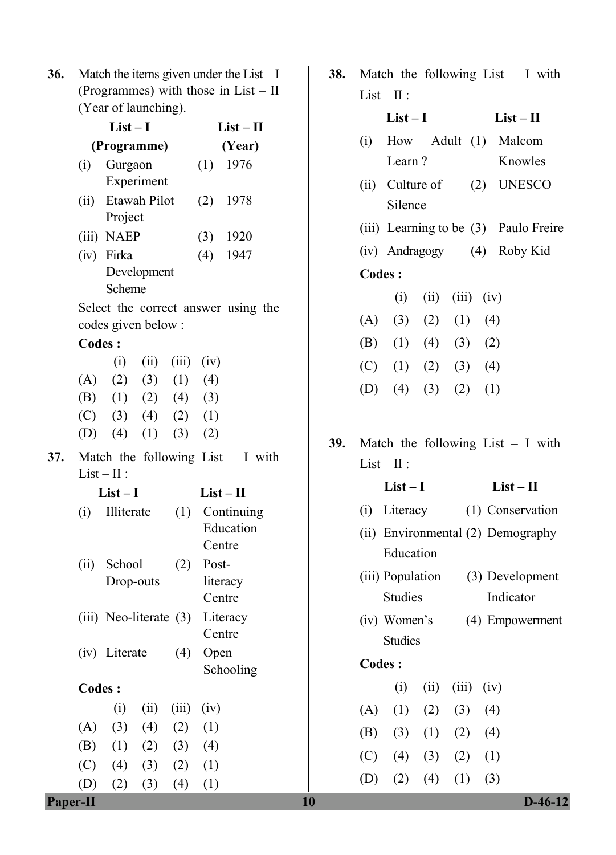**36.** Match the items given under the List – I (Programmes) with those in List – II (Year of launching).

|     | $List-I$      |                               |      |                             | $List-II$   |                                     |  |  |
|-----|---------------|-------------------------------|------|-----------------------------|-------------|-------------------------------------|--|--|
|     | (Programme)   |                               |      |                             | (Year)      |                                     |  |  |
|     |               | (i) Gurgaon                   |      |                             |             | $(1)$ 1976                          |  |  |
|     |               | Experiment                    |      |                             |             |                                     |  |  |
|     | (ii)          | Etawah Pilot                  |      |                             |             | $(2)$ 1978                          |  |  |
|     |               | Project                       |      |                             |             |                                     |  |  |
|     |               | (iii) NAEP                    |      |                             |             | $(3)$ 1920                          |  |  |
|     |               | (iv) Firka                    |      |                             |             | $(4)$ 1947                          |  |  |
|     |               | Development<br>Scheme         |      |                             |             |                                     |  |  |
|     |               |                               |      |                             |             | Select the correct answer using the |  |  |
|     |               | codes given below:            |      |                             |             |                                     |  |  |
|     | <b>Codes:</b> |                               |      |                             |             |                                     |  |  |
|     |               |                               |      | $(i)$ $(ii)$ $(iii)$ $(iv)$ |             |                                     |  |  |
|     |               | $(A)$ $(2)$ $(3)$ $(1)$ $(4)$ |      |                             |             |                                     |  |  |
|     |               | (B) (1) (2) (4) (3)           |      |                             |             |                                     |  |  |
|     |               | $(C)$ (3) (4) (2) (1)         |      |                             |             |                                     |  |  |
|     |               | (D) (4) (1) (3) (2)           |      |                             |             |                                     |  |  |
| 37. |               | $List-II$ :                   |      |                             |             | Match the following List $- I$ with |  |  |
|     |               | $List-I$                      |      |                             | $List - II$ |                                     |  |  |
|     |               | (i) Illiterate                |      |                             |             | (1) Continuing                      |  |  |
|     |               |                               |      |                             |             | Education                           |  |  |
|     |               |                               |      |                             | Centre      |                                     |  |  |
|     |               | (ii) School                   |      | (2)                         | Post-       |                                     |  |  |
|     |               | Drop-outs                     |      |                             |             | literacy                            |  |  |
|     |               |                               |      |                             | Centre      |                                     |  |  |
|     |               | (iii) Neo-literate (3)        |      |                             |             | Literacy                            |  |  |
|     |               |                               |      |                             | Centre      |                                     |  |  |
|     |               | (iv) Literate                 |      | (4)                         | Open        | Schooling                           |  |  |
|     | <b>Codes:</b> |                               |      |                             |             |                                     |  |  |
|     |               | (i)                           | (ii) | (iii)                       | (iv)        |                                     |  |  |
|     | (A)           |                               |      | $(3)$ $(4)$ $(2)$ $(1)$     |             |                                     |  |  |
|     |               | (B) (1) (2) (3) (4)           |      |                             |             |                                     |  |  |
|     |               | $(C)$ (4) (3) (2) (1)         |      |                             |             |                                     |  |  |
|     |               | $(D)$ $(2)$                   | (3)  | (4)                         | (1)         |                                     |  |  |
|     |               |                               |      |                             |             |                                     |  |  |

|     |               |                               |              |                | 38. Match the following List $- I$ with |
|-----|---------------|-------------------------------|--------------|----------------|-----------------------------------------|
|     |               | $List-II$ :                   |              |                |                                         |
|     |               | $List-I$                      |              |                | $List - II$                             |
|     | (i)           |                               |              |                | How Adult (1) Malcom                    |
|     |               | Learn?                        |              |                | Knowles                                 |
|     |               |                               |              |                | (ii) Culture of (2) UNESCO              |
|     |               | Silence                       |              |                |                                         |
|     |               |                               |              |                | (iii) Learning to be (3) Paulo Freire   |
|     |               |                               |              |                | (iv) Andragogy (4) Roby Kid             |
|     | <b>Codes:</b> |                               |              |                |                                         |
|     |               |                               | $(i)$ $(ii)$ | $(iii)$ $(iv)$ |                                         |
|     |               | (A) (3) (2) (1) (4)           |              |                |                                         |
|     |               | (B) (1) (4) (3) (2)           |              |                |                                         |
|     |               | $(C)$ $(1)$ $(2)$ $(3)$ $(4)$ |              |                |                                         |
|     |               | (D) (4) (3) (2) (1)           |              |                |                                         |
|     |               |                               |              |                |                                         |
| 39. |               |                               |              |                | Match the following List $- I$ with     |
|     |               | $List-II$ :                   |              |                |                                         |
|     |               | $List-I$                      |              |                | $List-II$                               |
|     |               |                               |              |                | (i) Literacy (1) Conservation           |
|     |               |                               |              |                |                                         |
|     |               |                               |              |                | (ii) Environmental (2) Demography       |
|     |               | Education                     |              |                |                                         |
|     |               |                               |              |                | (iii) Population (3) Development        |
|     |               | <b>Studies</b>                |              |                | Indicator                               |

(iv) Women's Studies (4) Empowerment

## **Codes :**

|  | (i) (ii) (iii) (iv)           |  |
|--|-------------------------------|--|
|  | $(A)$ $(1)$ $(2)$ $(3)$ $(4)$ |  |
|  | (B) (3) (1) (2) (4)           |  |
|  | $(C)$ (4) (3) (2) (1)         |  |
|  | (D) (2) (4) (1) (3)           |  |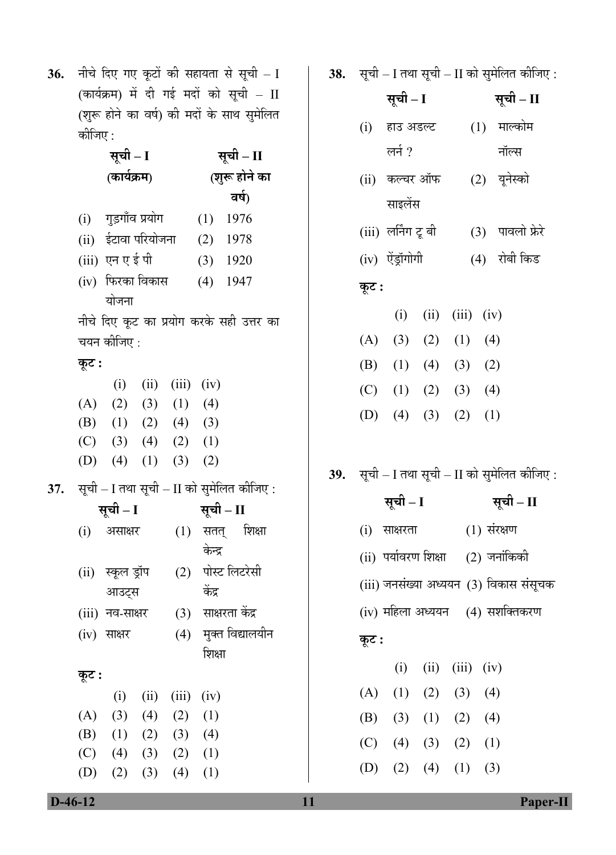36. नीचे दिए गए कूटों की सहायता से सूची – I  $($ कार्यक्रम) में दी गई मदों को सूची –  $\text{II}$ (शुरू होने का वर्ष) की मदों के साथ सुमेलित कीजिए :

| सूची – I    |                               |             |                             |               | सूची – II                                                  |  |
|-------------|-------------------------------|-------------|-----------------------------|---------------|------------------------------------------------------------|--|
| (कार्यक्रम) |                               |             |                             | (शुरू होने का |                                                            |  |
|             |                               |             |                             |               | वर्ष)                                                      |  |
|             | (i) गुड़गाँव प्रयोग           |             |                             |               | $(1)$ 1976                                                 |  |
|             | (ii) ईटावा परियोजना (2) 1978  |             |                             |               |                                                            |  |
|             | (iii) एन एई पी                |             |                             |               | $(3)$ 1920                                                 |  |
|             | (iv) फिरका विकास              |             |                             |               | $(4)$ 1947                                                 |  |
|             | योजना                         |             |                             |               |                                                            |  |
|             |                               |             |                             |               | नीचे दिए कूट का प्रयोग करके सही उत्तर का                   |  |
|             | चयन कीजिए :                   |             |                             |               |                                                            |  |
| कूट :       |                               |             |                             |               |                                                            |  |
|             |                               |             | $(i)$ $(ii)$ $(iii)$ $(iv)$ |               |                                                            |  |
|             | $(A)$ $(2)$ $(3)$ $(1)$ $(4)$ |             |                             |               |                                                            |  |
|             | (B) (1) (2) (4) (3)           |             |                             |               |                                                            |  |
|             | $(C)$ (3) (4) (2) (1)         |             |                             |               |                                                            |  |
|             | (D) (4) (1) (3) (2)           |             |                             |               |                                                            |  |
|             |                               |             |                             |               | $\bf{37.} \quad$ सूची – I तथा सूची – II को सुमेलित कीजिए : |  |
|             | सूची – I                      |             |                             |               | सूची – II                                                  |  |
|             | (i) असाक्षर                   |             |                             |               | $(1)$ सतत् शिक्षा                                          |  |
|             |                               |             |                             | केन्द्र       |                                                            |  |
|             | (ii)) स्कूल ड्रॉप             |             |                             |               | (2) पोस्ट लिटरेसी                                          |  |
|             | आउट्स                         |             |                             | केंद्र        |                                                            |  |
|             | (iii) नव-साक्षर               |             |                             |               | (3) साक्षरता केंद्र                                        |  |
|             | $(iv)$ साक्षर                 |             |                             |               | (4) मुक्त विद्यालयीन                                       |  |
|             |                               |             |                             | शिक्षा        |                                                            |  |
| कूट :       |                               |             |                             |               |                                                            |  |
|             | (i)                           | (ii)        | (iii)                       | (iv)          |                                                            |  |
| (A)         |                               | $(3)$ $(4)$ | (2)                         | (1)           |                                                            |  |
| (B)         |                               |             | $(1)$ $(2)$ $(3)$ $(4)$     |               |                                                            |  |
|             | $(C)$ (4) (3) (2) (1)         |             |                             |               |                                                            |  |
| (D)         |                               | $(2)$ $(3)$ |                             | $(4)$ $(1)$   |                                                            |  |

**38.** सूची – I तथा सूची – II को सुमेलित कीजिए :

|       |                       |                      |      | 38.     सूचा – I तथा सूचा – II का सुमालत काजिए : |
|-------|-----------------------|----------------------|------|--------------------------------------------------|
|       | सूची – I              |                      |      | सूची – II                                        |
|       | (i) हाउ अडल्ट         |                      |      | (1) माल्कोम                                      |
|       | लर्न ?                |                      |      | नॉल्स                                            |
|       | (ii)   कल्चर ऑफ       |                      |      | (2) यूनेस्को                                     |
|       | साइलेंस               |                      |      |                                                  |
|       | (iii) लर्निंग टू बी   |                      |      | (3) पावलो फ्रेरे                                 |
|       | (iv) ऐंड्रॉगोगी       |                      |      | (4) रोबी किड                                     |
| कूट : |                       |                      |      |                                                  |
|       |                       | $(i)$ $(ii)$ $(iii)$ | (iv) |                                                  |
|       | (A) (3) (2) (1) (4)   |                      |      |                                                  |
|       | (B) (1) (4) (3) (2)   |                      |      |                                                  |
|       | $(C)$ (1) (2) (3) (4) |                      |      |                                                  |
|       | (D) (4) (3) (2) (1)   |                      |      |                                                  |
|       |                       |                      |      |                                                  |
|       |                       |                      |      | $39.$ सूची – I तथा सूची – II को सुमेलित कीजिए :  |
|       | सूची – I              |                      |      | सूची – II                                        |

- $(i)$  साक्षरता  $(1)$  संरक्षण
- $(ii)$  पर्यावरण शिक्षा  $(2)$  जनांकिकी
- (iii) जनसंख्या अध्ययन (3) विकास संसूचक

(iv) महिला अध्ययन (4) सशक्तिकरण

# **Ûæú™ü :**

|  | $(i)$ $(ii)$ $(iii)$ $(iv)$   |  |
|--|-------------------------------|--|
|  | $(A)$ $(1)$ $(2)$ $(3)$ $(4)$ |  |
|  | (B) (3) (1) (2) (4)           |  |
|  | $(C)$ (4) (3) (2) (1)         |  |
|  | (D) (2) (4) (1) (3)           |  |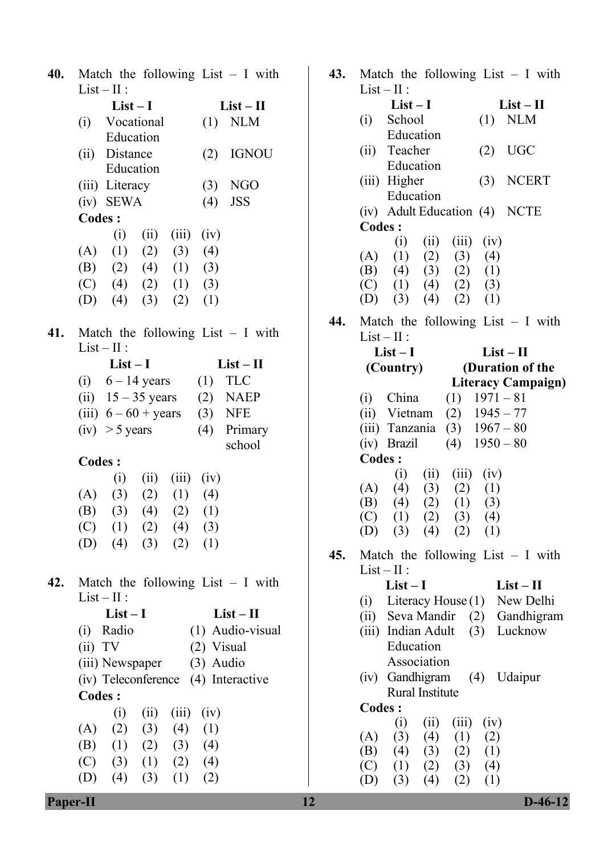| 40. Match the following List $- I$ with |  |  |  |
|-----------------------------------------|--|--|--|
| $List-II:$                              |  |  |  |

|     |               | $List-I$                              |  |                             | $List - II$ |                                         |  |  |
|-----|---------------|---------------------------------------|--|-----------------------------|-------------|-----------------------------------------|--|--|
|     |               | (i) Vocational                        |  |                             |             | $(1)$ NLM                               |  |  |
|     |               | Education                             |  |                             |             |                                         |  |  |
|     |               | (ii) Distance                         |  |                             |             | $(2)$ IGNOU                             |  |  |
|     |               | Education                             |  |                             |             |                                         |  |  |
|     |               | (iii) Literacy                        |  |                             |             | $(3)$ NGO                               |  |  |
|     |               | $(iv)$ SEWA                           |  |                             |             | $(4)$ JSS                               |  |  |
|     | <b>Codes:</b> |                                       |  |                             |             |                                         |  |  |
|     |               |                                       |  | $(i)$ $(ii)$ $(iii)$ $(iv)$ |             |                                         |  |  |
|     |               | $(A)$ $(1)$ $(2)$ $(3)$ $(4)$         |  |                             |             |                                         |  |  |
|     |               | (B) (2) (4) (1) (3)                   |  |                             |             |                                         |  |  |
|     |               | (C) (4) (2) (1) (3)                   |  |                             |             |                                         |  |  |
|     |               | (D) (4) (3) (2) (1)                   |  |                             |             |                                         |  |  |
|     |               |                                       |  |                             |             |                                         |  |  |
|     |               |                                       |  |                             |             | 41. Match the following List $- I$ with |  |  |
|     |               | $List - II$ :                         |  |                             |             |                                         |  |  |
|     |               | $List-I$                              |  |                             |             | $List - II$                             |  |  |
|     |               |                                       |  |                             |             | (i) $6-14 \text{ years}$ (1) TLC        |  |  |
|     |               |                                       |  |                             |             | (ii) $15 - 35 \text{ years}$ (2) NAEP   |  |  |
|     |               | (iii) $6 - 60 + \text{years}$ (3) NFE |  |                             |             |                                         |  |  |
|     |               | $(iv) > 5$ years                      |  |                             |             | (4) Primary                             |  |  |
|     |               |                                       |  |                             |             | school                                  |  |  |
|     | <b>Codes:</b> |                                       |  |                             |             |                                         |  |  |
|     |               |                                       |  | $(i)$ $(ii)$ $(iii)$ $(iv)$ |             |                                         |  |  |
|     |               | (A) (3) (2) (1) (4)                   |  |                             |             |                                         |  |  |
|     |               | (B) (3) (4) (2) (1)                   |  |                             |             |                                         |  |  |
|     |               | (C) (1) (2) (4) (3)                   |  |                             |             |                                         |  |  |
|     |               | (D) (4) (3) (2) (1)                   |  |                             |             |                                         |  |  |
|     |               |                                       |  |                             |             |                                         |  |  |
|     |               |                                       |  |                             |             |                                         |  |  |
| 42. |               |                                       |  |                             |             | Match the following List - I with       |  |  |
|     |               | $List-II$ :                           |  |                             |             |                                         |  |  |
|     |               | $List-I$                              |  |                             |             | $List-II$                               |  |  |
|     |               | (i) Radio                             |  |                             |             | (1) Audio-visual                        |  |  |
|     | (ii) TV       |                                       |  |                             | (2) Visual  |                                         |  |  |
|     |               | (iii) Newspaper (3) Audio             |  |                             |             |                                         |  |  |
|     |               |                                       |  |                             |             | (iv) Teleconference (4) Interactive     |  |  |
|     | <b>Codes:</b> |                                       |  |                             |             |                                         |  |  |
|     |               |                                       |  | $(i)$ $(ii)$ $(iii)$ $(iv)$ |             |                                         |  |  |
|     |               | (A) (2) (3) (4) (1)                   |  |                             |             |                                         |  |  |
|     |               | (B) (1) (2) (3) (4)                   |  |                             |             |                                         |  |  |
|     |               | $(C)$ (3) (1) (2) (4)                 |  |                             |             |                                         |  |  |
|     |               | (D) (4) (3) (1) (2)                   |  |                             |             |                                         |  |  |
|     |               |                                       |  |                             |             |                                         |  |  |

| $List-I$<br>$List - II$<br>$List-II$<br>$List-I$<br><b>NLM</b><br>School<br>(1)<br>(i)<br><b>NLM</b><br>Vocational<br>(1)<br>(i)<br>Education<br>Education<br><b>UGC</b><br>Teacher<br>(2)<br>(ii)<br><b>IGNOU</b><br>Distance<br>(2)<br>(ii)<br>Education<br>Education<br><b>NCERT</b><br>(iii) Higher<br>(3)<br><b>NGO</b><br>(iii) Literacy<br>(3)<br>Education<br>$(iv)$ SEWA<br><b>JSS</b><br>(4)<br>(iv) Adult Education (4)<br><b>NCTE</b><br><b>Codes:</b><br><b>Codes:</b><br>(iv)<br>(i)<br>(ii)<br>(iii)<br>(ii)<br>(iii)<br>(iv)<br>(i)<br>(1)<br>(2)<br>(3)<br>(4)<br>(A)<br>(1)<br>(2)<br>(3)<br>(A)<br>(4)<br>(2)<br>(B)<br>(1)<br>(3)<br>(4)<br>(3)<br>(2)<br>(1)<br>(B)<br>(4)<br>(C)<br>(4)<br>(2)<br>(1)<br>(3)<br>(2)<br>(3)<br>(C)<br>(1)<br>(4)<br>(D)<br>(3)<br>(4)<br>(2)<br>(1)<br>(D)<br>(4)<br>(3)<br>(2)<br>(1)<br>Match the following List $- I$ with<br>44.<br>Match the following List $- I$ with<br>41.<br>$List-II$ :<br>$List-II$ :<br>$List-I$<br>$List-II$<br>$List-I$<br>$List-II$<br>(Duration of the<br>(Country)<br><b>TLC</b><br>$6 - 14$ years<br>(1)<br>(i)<br><b>Literacy Campaign)</b><br>$15 - 35$ years<br>(2)<br><b>NAEP</b><br>(ii)<br>China<br>$(1)$ 1971 – 81<br>(i)<br>(iii) $6-60$ + years<br>(3)<br><b>NFE</b><br>Vietnam<br>(2)<br>$1945 - 77$<br>(ii)<br>$1967 - 80$<br>(iii) Tanzania<br>(3)<br>$(iv) > 5$ years<br>Primary<br>(4)<br>$1950 - 80$<br>(iv) Brazil<br>(4)<br>school<br><b>Codes:</b><br><b>Codes:</b><br>(iv)<br>(iii)<br>(ii)<br>(i)<br>(ii)<br>(iii)<br>(iv)<br>(i)<br>(4)<br>(3)<br>(2)<br>(A)<br>(1)<br>(3)<br>(A)<br>(2)<br>(1)<br>(4)<br>(2)<br>(1)<br>(3)<br>(B)<br>(4)<br>(B)<br>(3)<br>(2)<br>(1)<br>(4)<br>(3)<br>(4)<br>(C)<br>(1)<br>(2)<br>(C)<br>(1)<br>(2)<br>(4)<br>(3)<br>(1)<br>(3)<br>(4)<br>(2)<br>(D)<br>(D)<br>(4)<br>(3)<br>(2)<br>(1)<br>45.<br>Match the following List $- I$ with<br>$List-II$ :<br>Match the following List $- I$ with<br>42.<br>$List-I$<br>$List-II$<br>$List-II$ :<br>Literacy House $(1)$<br>New Delhi<br>(i)<br>$List - II$<br>$List-I$<br>(ii) Seva Mandir<br>Gandhigram<br>(2)<br>(1) Audio-visual<br>Radio<br>(iii) Indian Adult<br>Lucknow<br>(i)<br>(3)<br>Education<br>(ii) TV<br>(2) Visual<br>Association<br>$(3)$ Audio<br>(iii) Newspaper<br>(iv) Gandhigram<br>Udaipur<br>(4)<br>(iv) Teleconference<br>(4) Interactive<br>Rural Institute<br><b>Codes:</b><br><b>Codes:</b><br>(iv)<br>(i)<br>(ii)<br>(iii)<br>(ii)<br>(iii)<br>(iv)<br>(i)<br>(2)<br>(A)<br>(3)<br>(4)<br>(1)<br>(A)<br>(3)<br>(1)<br>(4)<br>(2)<br>(1)<br>(4)<br>(B)<br>(2)<br>(3)<br>(2)<br>(1)<br>(B)<br>(4)<br>(3)<br>(C)<br>(3)<br>(1)<br>(2)<br>(4)<br>(3)<br>(C)<br>(1)<br>(2)<br>(4)<br>(D)<br>(4)<br>(3)<br>(1)<br>(2)<br>(D)<br>(3)<br>(4)<br>(2)<br>(1)<br>$D-46-12$<br>12<br>Paper-II | 40. | Match the following List $- I$ with | 43. | Match the following List $- I$ with |
|-------------------------------------------------------------------------------------------------------------------------------------------------------------------------------------------------------------------------------------------------------------------------------------------------------------------------------------------------------------------------------------------------------------------------------------------------------------------------------------------------------------------------------------------------------------------------------------------------------------------------------------------------------------------------------------------------------------------------------------------------------------------------------------------------------------------------------------------------------------------------------------------------------------------------------------------------------------------------------------------------------------------------------------------------------------------------------------------------------------------------------------------------------------------------------------------------------------------------------------------------------------------------------------------------------------------------------------------------------------------------------------------------------------------------------------------------------------------------------------------------------------------------------------------------------------------------------------------------------------------------------------------------------------------------------------------------------------------------------------------------------------------------------------------------------------------------------------------------------------------------------------------------------------------------------------------------------------------------------------------------------------------------------------------------------------------------------------------------------------------------------------------------------------------------------------------------------------------------------------------------------------------------------------------------------------------------------------------------------------------------------------------------------------------------------------------------------------------------------------------------------------------------------------------------------------------------------------------------------------------------------------------------------------------------------------------------------------------------------------------------------------------------------------------------------|-----|-------------------------------------|-----|-------------------------------------|
|                                                                                                                                                                                                                                                                                                                                                                                                                                                                                                                                                                                                                                                                                                                                                                                                                                                                                                                                                                                                                                                                                                                                                                                                                                                                                                                                                                                                                                                                                                                                                                                                                                                                                                                                                                                                                                                                                                                                                                                                                                                                                                                                                                                                                                                                                                                                                                                                                                                                                                                                                                                                                                                                                                                                                                                                       |     | $List-II$ :                         |     | $List-II$ :                         |
|                                                                                                                                                                                                                                                                                                                                                                                                                                                                                                                                                                                                                                                                                                                                                                                                                                                                                                                                                                                                                                                                                                                                                                                                                                                                                                                                                                                                                                                                                                                                                                                                                                                                                                                                                                                                                                                                                                                                                                                                                                                                                                                                                                                                                                                                                                                                                                                                                                                                                                                                                                                                                                                                                                                                                                                                       |     |                                     |     |                                     |
|                                                                                                                                                                                                                                                                                                                                                                                                                                                                                                                                                                                                                                                                                                                                                                                                                                                                                                                                                                                                                                                                                                                                                                                                                                                                                                                                                                                                                                                                                                                                                                                                                                                                                                                                                                                                                                                                                                                                                                                                                                                                                                                                                                                                                                                                                                                                                                                                                                                                                                                                                                                                                                                                                                                                                                                                       |     |                                     |     |                                     |
|                                                                                                                                                                                                                                                                                                                                                                                                                                                                                                                                                                                                                                                                                                                                                                                                                                                                                                                                                                                                                                                                                                                                                                                                                                                                                                                                                                                                                                                                                                                                                                                                                                                                                                                                                                                                                                                                                                                                                                                                                                                                                                                                                                                                                                                                                                                                                                                                                                                                                                                                                                                                                                                                                                                                                                                                       |     |                                     |     |                                     |
|                                                                                                                                                                                                                                                                                                                                                                                                                                                                                                                                                                                                                                                                                                                                                                                                                                                                                                                                                                                                                                                                                                                                                                                                                                                                                                                                                                                                                                                                                                                                                                                                                                                                                                                                                                                                                                                                                                                                                                                                                                                                                                                                                                                                                                                                                                                                                                                                                                                                                                                                                                                                                                                                                                                                                                                                       |     |                                     |     |                                     |
|                                                                                                                                                                                                                                                                                                                                                                                                                                                                                                                                                                                                                                                                                                                                                                                                                                                                                                                                                                                                                                                                                                                                                                                                                                                                                                                                                                                                                                                                                                                                                                                                                                                                                                                                                                                                                                                                                                                                                                                                                                                                                                                                                                                                                                                                                                                                                                                                                                                                                                                                                                                                                                                                                                                                                                                                       |     |                                     |     |                                     |
|                                                                                                                                                                                                                                                                                                                                                                                                                                                                                                                                                                                                                                                                                                                                                                                                                                                                                                                                                                                                                                                                                                                                                                                                                                                                                                                                                                                                                                                                                                                                                                                                                                                                                                                                                                                                                                                                                                                                                                                                                                                                                                                                                                                                                                                                                                                                                                                                                                                                                                                                                                                                                                                                                                                                                                                                       |     |                                     |     |                                     |
|                                                                                                                                                                                                                                                                                                                                                                                                                                                                                                                                                                                                                                                                                                                                                                                                                                                                                                                                                                                                                                                                                                                                                                                                                                                                                                                                                                                                                                                                                                                                                                                                                                                                                                                                                                                                                                                                                                                                                                                                                                                                                                                                                                                                                                                                                                                                                                                                                                                                                                                                                                                                                                                                                                                                                                                                       |     |                                     |     |                                     |
|                                                                                                                                                                                                                                                                                                                                                                                                                                                                                                                                                                                                                                                                                                                                                                                                                                                                                                                                                                                                                                                                                                                                                                                                                                                                                                                                                                                                                                                                                                                                                                                                                                                                                                                                                                                                                                                                                                                                                                                                                                                                                                                                                                                                                                                                                                                                                                                                                                                                                                                                                                                                                                                                                                                                                                                                       |     |                                     |     |                                     |
|                                                                                                                                                                                                                                                                                                                                                                                                                                                                                                                                                                                                                                                                                                                                                                                                                                                                                                                                                                                                                                                                                                                                                                                                                                                                                                                                                                                                                                                                                                                                                                                                                                                                                                                                                                                                                                                                                                                                                                                                                                                                                                                                                                                                                                                                                                                                                                                                                                                                                                                                                                                                                                                                                                                                                                                                       |     |                                     |     |                                     |
|                                                                                                                                                                                                                                                                                                                                                                                                                                                                                                                                                                                                                                                                                                                                                                                                                                                                                                                                                                                                                                                                                                                                                                                                                                                                                                                                                                                                                                                                                                                                                                                                                                                                                                                                                                                                                                                                                                                                                                                                                                                                                                                                                                                                                                                                                                                                                                                                                                                                                                                                                                                                                                                                                                                                                                                                       |     |                                     |     |                                     |
|                                                                                                                                                                                                                                                                                                                                                                                                                                                                                                                                                                                                                                                                                                                                                                                                                                                                                                                                                                                                                                                                                                                                                                                                                                                                                                                                                                                                                                                                                                                                                                                                                                                                                                                                                                                                                                                                                                                                                                                                                                                                                                                                                                                                                                                                                                                                                                                                                                                                                                                                                                                                                                                                                                                                                                                                       |     |                                     |     |                                     |
|                                                                                                                                                                                                                                                                                                                                                                                                                                                                                                                                                                                                                                                                                                                                                                                                                                                                                                                                                                                                                                                                                                                                                                                                                                                                                                                                                                                                                                                                                                                                                                                                                                                                                                                                                                                                                                                                                                                                                                                                                                                                                                                                                                                                                                                                                                                                                                                                                                                                                                                                                                                                                                                                                                                                                                                                       |     |                                     |     |                                     |
|                                                                                                                                                                                                                                                                                                                                                                                                                                                                                                                                                                                                                                                                                                                                                                                                                                                                                                                                                                                                                                                                                                                                                                                                                                                                                                                                                                                                                                                                                                                                                                                                                                                                                                                                                                                                                                                                                                                                                                                                                                                                                                                                                                                                                                                                                                                                                                                                                                                                                                                                                                                                                                                                                                                                                                                                       |     |                                     |     |                                     |
|                                                                                                                                                                                                                                                                                                                                                                                                                                                                                                                                                                                                                                                                                                                                                                                                                                                                                                                                                                                                                                                                                                                                                                                                                                                                                                                                                                                                                                                                                                                                                                                                                                                                                                                                                                                                                                                                                                                                                                                                                                                                                                                                                                                                                                                                                                                                                                                                                                                                                                                                                                                                                                                                                                                                                                                                       |     |                                     |     |                                     |
|                                                                                                                                                                                                                                                                                                                                                                                                                                                                                                                                                                                                                                                                                                                                                                                                                                                                                                                                                                                                                                                                                                                                                                                                                                                                                                                                                                                                                                                                                                                                                                                                                                                                                                                                                                                                                                                                                                                                                                                                                                                                                                                                                                                                                                                                                                                                                                                                                                                                                                                                                                                                                                                                                                                                                                                                       |     |                                     |     |                                     |
|                                                                                                                                                                                                                                                                                                                                                                                                                                                                                                                                                                                                                                                                                                                                                                                                                                                                                                                                                                                                                                                                                                                                                                                                                                                                                                                                                                                                                                                                                                                                                                                                                                                                                                                                                                                                                                                                                                                                                                                                                                                                                                                                                                                                                                                                                                                                                                                                                                                                                                                                                                                                                                                                                                                                                                                                       |     |                                     |     |                                     |
|                                                                                                                                                                                                                                                                                                                                                                                                                                                                                                                                                                                                                                                                                                                                                                                                                                                                                                                                                                                                                                                                                                                                                                                                                                                                                                                                                                                                                                                                                                                                                                                                                                                                                                                                                                                                                                                                                                                                                                                                                                                                                                                                                                                                                                                                                                                                                                                                                                                                                                                                                                                                                                                                                                                                                                                                       |     |                                     |     |                                     |
|                                                                                                                                                                                                                                                                                                                                                                                                                                                                                                                                                                                                                                                                                                                                                                                                                                                                                                                                                                                                                                                                                                                                                                                                                                                                                                                                                                                                                                                                                                                                                                                                                                                                                                                                                                                                                                                                                                                                                                                                                                                                                                                                                                                                                                                                                                                                                                                                                                                                                                                                                                                                                                                                                                                                                                                                       |     |                                     |     |                                     |
|                                                                                                                                                                                                                                                                                                                                                                                                                                                                                                                                                                                                                                                                                                                                                                                                                                                                                                                                                                                                                                                                                                                                                                                                                                                                                                                                                                                                                                                                                                                                                                                                                                                                                                                                                                                                                                                                                                                                                                                                                                                                                                                                                                                                                                                                                                                                                                                                                                                                                                                                                                                                                                                                                                                                                                                                       |     |                                     |     |                                     |
|                                                                                                                                                                                                                                                                                                                                                                                                                                                                                                                                                                                                                                                                                                                                                                                                                                                                                                                                                                                                                                                                                                                                                                                                                                                                                                                                                                                                                                                                                                                                                                                                                                                                                                                                                                                                                                                                                                                                                                                                                                                                                                                                                                                                                                                                                                                                                                                                                                                                                                                                                                                                                                                                                                                                                                                                       |     |                                     |     |                                     |
|                                                                                                                                                                                                                                                                                                                                                                                                                                                                                                                                                                                                                                                                                                                                                                                                                                                                                                                                                                                                                                                                                                                                                                                                                                                                                                                                                                                                                                                                                                                                                                                                                                                                                                                                                                                                                                                                                                                                                                                                                                                                                                                                                                                                                                                                                                                                                                                                                                                                                                                                                                                                                                                                                                                                                                                                       |     |                                     |     |                                     |
|                                                                                                                                                                                                                                                                                                                                                                                                                                                                                                                                                                                                                                                                                                                                                                                                                                                                                                                                                                                                                                                                                                                                                                                                                                                                                                                                                                                                                                                                                                                                                                                                                                                                                                                                                                                                                                                                                                                                                                                                                                                                                                                                                                                                                                                                                                                                                                                                                                                                                                                                                                                                                                                                                                                                                                                                       |     |                                     |     |                                     |
|                                                                                                                                                                                                                                                                                                                                                                                                                                                                                                                                                                                                                                                                                                                                                                                                                                                                                                                                                                                                                                                                                                                                                                                                                                                                                                                                                                                                                                                                                                                                                                                                                                                                                                                                                                                                                                                                                                                                                                                                                                                                                                                                                                                                                                                                                                                                                                                                                                                                                                                                                                                                                                                                                                                                                                                                       |     |                                     |     |                                     |
|                                                                                                                                                                                                                                                                                                                                                                                                                                                                                                                                                                                                                                                                                                                                                                                                                                                                                                                                                                                                                                                                                                                                                                                                                                                                                                                                                                                                                                                                                                                                                                                                                                                                                                                                                                                                                                                                                                                                                                                                                                                                                                                                                                                                                                                                                                                                                                                                                                                                                                                                                                                                                                                                                                                                                                                                       |     |                                     |     |                                     |
|                                                                                                                                                                                                                                                                                                                                                                                                                                                                                                                                                                                                                                                                                                                                                                                                                                                                                                                                                                                                                                                                                                                                                                                                                                                                                                                                                                                                                                                                                                                                                                                                                                                                                                                                                                                                                                                                                                                                                                                                                                                                                                                                                                                                                                                                                                                                                                                                                                                                                                                                                                                                                                                                                                                                                                                                       |     |                                     |     |                                     |
|                                                                                                                                                                                                                                                                                                                                                                                                                                                                                                                                                                                                                                                                                                                                                                                                                                                                                                                                                                                                                                                                                                                                                                                                                                                                                                                                                                                                                                                                                                                                                                                                                                                                                                                                                                                                                                                                                                                                                                                                                                                                                                                                                                                                                                                                                                                                                                                                                                                                                                                                                                                                                                                                                                                                                                                                       |     |                                     |     |                                     |
|                                                                                                                                                                                                                                                                                                                                                                                                                                                                                                                                                                                                                                                                                                                                                                                                                                                                                                                                                                                                                                                                                                                                                                                                                                                                                                                                                                                                                                                                                                                                                                                                                                                                                                                                                                                                                                                                                                                                                                                                                                                                                                                                                                                                                                                                                                                                                                                                                                                                                                                                                                                                                                                                                                                                                                                                       |     |                                     |     |                                     |
|                                                                                                                                                                                                                                                                                                                                                                                                                                                                                                                                                                                                                                                                                                                                                                                                                                                                                                                                                                                                                                                                                                                                                                                                                                                                                                                                                                                                                                                                                                                                                                                                                                                                                                                                                                                                                                                                                                                                                                                                                                                                                                                                                                                                                                                                                                                                                                                                                                                                                                                                                                                                                                                                                                                                                                                                       |     |                                     |     |                                     |
|                                                                                                                                                                                                                                                                                                                                                                                                                                                                                                                                                                                                                                                                                                                                                                                                                                                                                                                                                                                                                                                                                                                                                                                                                                                                                                                                                                                                                                                                                                                                                                                                                                                                                                                                                                                                                                                                                                                                                                                                                                                                                                                                                                                                                                                                                                                                                                                                                                                                                                                                                                                                                                                                                                                                                                                                       |     |                                     |     |                                     |
|                                                                                                                                                                                                                                                                                                                                                                                                                                                                                                                                                                                                                                                                                                                                                                                                                                                                                                                                                                                                                                                                                                                                                                                                                                                                                                                                                                                                                                                                                                                                                                                                                                                                                                                                                                                                                                                                                                                                                                                                                                                                                                                                                                                                                                                                                                                                                                                                                                                                                                                                                                                                                                                                                                                                                                                                       |     |                                     |     |                                     |
|                                                                                                                                                                                                                                                                                                                                                                                                                                                                                                                                                                                                                                                                                                                                                                                                                                                                                                                                                                                                                                                                                                                                                                                                                                                                                                                                                                                                                                                                                                                                                                                                                                                                                                                                                                                                                                                                                                                                                                                                                                                                                                                                                                                                                                                                                                                                                                                                                                                                                                                                                                                                                                                                                                                                                                                                       |     |                                     |     |                                     |
|                                                                                                                                                                                                                                                                                                                                                                                                                                                                                                                                                                                                                                                                                                                                                                                                                                                                                                                                                                                                                                                                                                                                                                                                                                                                                                                                                                                                                                                                                                                                                                                                                                                                                                                                                                                                                                                                                                                                                                                                                                                                                                                                                                                                                                                                                                                                                                                                                                                                                                                                                                                                                                                                                                                                                                                                       |     |                                     |     |                                     |
|                                                                                                                                                                                                                                                                                                                                                                                                                                                                                                                                                                                                                                                                                                                                                                                                                                                                                                                                                                                                                                                                                                                                                                                                                                                                                                                                                                                                                                                                                                                                                                                                                                                                                                                                                                                                                                                                                                                                                                                                                                                                                                                                                                                                                                                                                                                                                                                                                                                                                                                                                                                                                                                                                                                                                                                                       |     |                                     |     |                                     |
|                                                                                                                                                                                                                                                                                                                                                                                                                                                                                                                                                                                                                                                                                                                                                                                                                                                                                                                                                                                                                                                                                                                                                                                                                                                                                                                                                                                                                                                                                                                                                                                                                                                                                                                                                                                                                                                                                                                                                                                                                                                                                                                                                                                                                                                                                                                                                                                                                                                                                                                                                                                                                                                                                                                                                                                                       |     |                                     |     |                                     |
|                                                                                                                                                                                                                                                                                                                                                                                                                                                                                                                                                                                                                                                                                                                                                                                                                                                                                                                                                                                                                                                                                                                                                                                                                                                                                                                                                                                                                                                                                                                                                                                                                                                                                                                                                                                                                                                                                                                                                                                                                                                                                                                                                                                                                                                                                                                                                                                                                                                                                                                                                                                                                                                                                                                                                                                                       |     |                                     |     |                                     |
|                                                                                                                                                                                                                                                                                                                                                                                                                                                                                                                                                                                                                                                                                                                                                                                                                                                                                                                                                                                                                                                                                                                                                                                                                                                                                                                                                                                                                                                                                                                                                                                                                                                                                                                                                                                                                                                                                                                                                                                                                                                                                                                                                                                                                                                                                                                                                                                                                                                                                                                                                                                                                                                                                                                                                                                                       |     |                                     |     |                                     |
|                                                                                                                                                                                                                                                                                                                                                                                                                                                                                                                                                                                                                                                                                                                                                                                                                                                                                                                                                                                                                                                                                                                                                                                                                                                                                                                                                                                                                                                                                                                                                                                                                                                                                                                                                                                                                                                                                                                                                                                                                                                                                                                                                                                                                                                                                                                                                                                                                                                                                                                                                                                                                                                                                                                                                                                                       |     |                                     |     |                                     |
|                                                                                                                                                                                                                                                                                                                                                                                                                                                                                                                                                                                                                                                                                                                                                                                                                                                                                                                                                                                                                                                                                                                                                                                                                                                                                                                                                                                                                                                                                                                                                                                                                                                                                                                                                                                                                                                                                                                                                                                                                                                                                                                                                                                                                                                                                                                                                                                                                                                                                                                                                                                                                                                                                                                                                                                                       |     |                                     |     |                                     |
|                                                                                                                                                                                                                                                                                                                                                                                                                                                                                                                                                                                                                                                                                                                                                                                                                                                                                                                                                                                                                                                                                                                                                                                                                                                                                                                                                                                                                                                                                                                                                                                                                                                                                                                                                                                                                                                                                                                                                                                                                                                                                                                                                                                                                                                                                                                                                                                                                                                                                                                                                                                                                                                                                                                                                                                                       |     |                                     |     |                                     |
|                                                                                                                                                                                                                                                                                                                                                                                                                                                                                                                                                                                                                                                                                                                                                                                                                                                                                                                                                                                                                                                                                                                                                                                                                                                                                                                                                                                                                                                                                                                                                                                                                                                                                                                                                                                                                                                                                                                                                                                                                                                                                                                                                                                                                                                                                                                                                                                                                                                                                                                                                                                                                                                                                                                                                                                                       |     |                                     |     |                                     |
|                                                                                                                                                                                                                                                                                                                                                                                                                                                                                                                                                                                                                                                                                                                                                                                                                                                                                                                                                                                                                                                                                                                                                                                                                                                                                                                                                                                                                                                                                                                                                                                                                                                                                                                                                                                                                                                                                                                                                                                                                                                                                                                                                                                                                                                                                                                                                                                                                                                                                                                                                                                                                                                                                                                                                                                                       |     |                                     |     |                                     |
|                                                                                                                                                                                                                                                                                                                                                                                                                                                                                                                                                                                                                                                                                                                                                                                                                                                                                                                                                                                                                                                                                                                                                                                                                                                                                                                                                                                                                                                                                                                                                                                                                                                                                                                                                                                                                                                                                                                                                                                                                                                                                                                                                                                                                                                                                                                                                                                                                                                                                                                                                                                                                                                                                                                                                                                                       |     |                                     |     |                                     |
|                                                                                                                                                                                                                                                                                                                                                                                                                                                                                                                                                                                                                                                                                                                                                                                                                                                                                                                                                                                                                                                                                                                                                                                                                                                                                                                                                                                                                                                                                                                                                                                                                                                                                                                                                                                                                                                                                                                                                                                                                                                                                                                                                                                                                                                                                                                                                                                                                                                                                                                                                                                                                                                                                                                                                                                                       |     |                                     |     |                                     |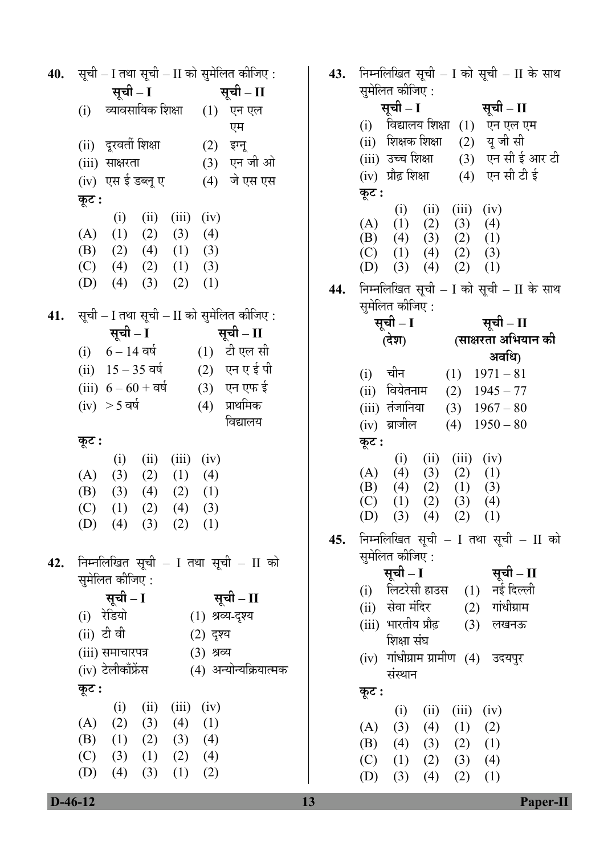**40.** सूची – I तथा सूची – II को सुमेलित कीजिए : **ÃÖæ"Öß – I ÃÖæ"Öß – II**  (i) व्यावसायिक शिक्षा (1) एन एल एम (ii) ¤æü¸ü¾ÖŸÖá ׿ÖõÖÖ (2) ‡Ý®Öæ (iii) साक्षरता (3) एन जी ओ (iv) एस ईडब्लू ए (4) जे एस एस  $\overline{\Phi}$ :  $(i)$   $(ii)$   $(iii)$   $(iv)$  $(A)$   $(1)$   $(2)$   $(3)$   $(4)$  (B) (2) (4) (1) (3)  $(C)$  (4) (2) (1) (3) (D)  $(4)$   $(3)$   $(2)$   $(1)$ **41.** सूची – I तथा सूची – II को सुमेलित कीजिए : **ÃÖæ"Öß – I ÃÖæ"Öß – II**  (i)  $6 - 14 = \text{d}\theta$  (1)  $\text{d}\theta$   $\text{d}\theta$ (ii)  $15 - 35$  वर्ष (2) एन एई पी (iii)  $6 - 60 + \bar{a}$  (3) एन एफ ई  $(iv) > 5$  वर्ष  $(4)$  प्राथमिक विद्यालय  $\Phi$ **:**  $(i)$   $(ii)$   $(iii)$   $(iv)$  $(A)$   $(3)$   $(2)$   $(1)$   $(4)$  (B) (3) (4) (2) (1)  $(C)$   $(1)$   $(2)$   $(4)$   $(3)$ (D)  $(4)$   $(3)$   $(2)$   $(1)$ 42. निम्नलिखित सूची – I तथा सूची – II को <u>सु</u>मेलित कीजिए : **ÃÖæ"Öß – I ÃÖæ"Öß – II**  (i) रेडियो (1) श्रव्य-दृश्य (ii) टी वी (2) दृश्य (iii) समाचारपत्र (3) श्रव्य (iv) टेलीकाँफ्रेंस (4) अन्योन्यक्रियात्मक  $\overline{\phi}$ **:**  $(i)$   $(ii)$   $(iii)$   $(iv)$  $(A)$   $(2)$   $(3)$   $(4)$   $(1)$  (B) (1) (2) (3) (4)  $(C)$  (3) (1) (2) (4) (D) (4) (3) (1) (2)

**43.** निम्नलिखित सूची – I को सूची – II के साथ सुमेलित कीजिए : **ÃÖæ"Öß – I ÃÖæ"Öß – II**  (i) विद्यालय शिक्षा (1) एन एल एम (ii) शिक्षक शिक्षा (2) यू जी सी (iii) उच्च शिक्षा (3) एन सी ई आर टी  $(iv)$  प्रौढ़ शिक्षा  $(4)$  एन सी टी ई **Ûæú™ü :**   $(i)$   $(ii)$   $(iii)$   $(iv)$  $(A)$   $(1)$   $(2)$   $(3)$   $(4)$  (B) (4) (3) (2) (1)  $(C)$   $(1)$   $(4)$   $(2)$   $(3)$  (D) (3) (4) (2) (1) 44. निम्नलिखित सूची – I को सूची – II के साथ सुमेलित कीजिए : <u>सची – I</u> **(¤êü¿Ö)** <u>सची – II</u> (साक्षरता अभियान क<mark>ी</mark> **अवधि)** (i) चीन  $(1)$  1971 – 81 (ii) वियेतनाम (2)  $1945 - 77$ (iii) तंजानिया (3)  $1967 - 80$ (iv) ब्राजील (4)  $1950 - 80$  $\Phi$ ः  $(i)$   $(ii)$   $(iii)$   $(iv)$  $(A)$   $(4)$   $(3)$   $(2)$   $(1)$ (B) (4) (2) (1) (3)  $(C)$   $(1)$   $(2)$   $(3)$   $(4)$  $(D)$   $(3)$   $(4)$   $(2)$   $(1)$ **45.** निम्नलिखित सूची – I तथा सूची – II को समेलित कीजिए : **ÃÖæ"Öß – I ÃÖæ"Öß – II**  (i) लिटरेसी हाउस (1) (ii) सेवा मंदिर (2) गांधीग्राम (iii) भारतीय प्रौढ शिक्षा संघ (3) लखनऊ (iv) गांधीग्राम ग्रामीण (4) उदयपुर संस्थान **Ûæú™ü :**   $(i)$   $(ii)$   $(iii)$   $(iv)$  $(A)$   $(3)$   $(4)$   $(1)$   $(2)$  (B) (4) (3) (2) (1)  $(C)$   $(1)$   $(2)$   $(3)$   $(4)$ (D) (3) (4) (2) (1)

 **D-46-12 13 Paper-II**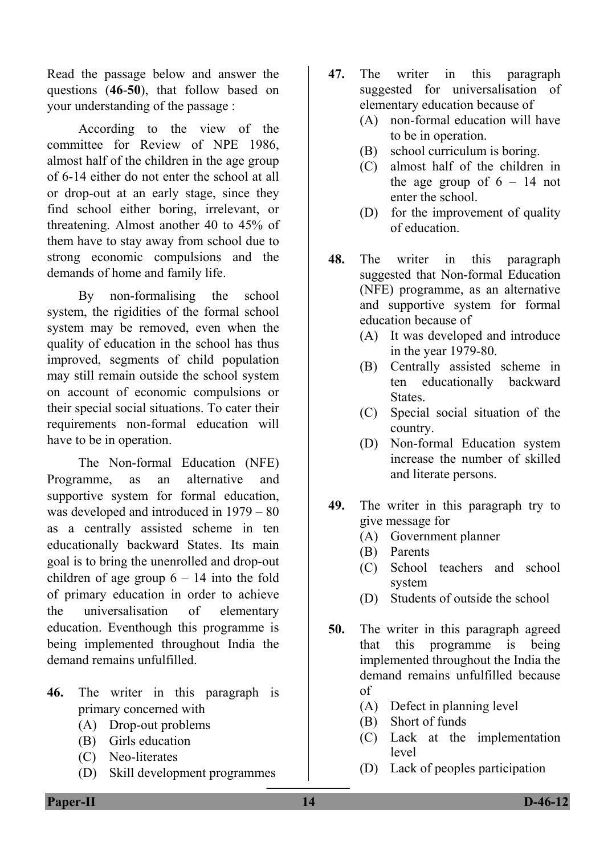Read the passage below and answer the questions (**46**-**50**), that follow based on your understanding of the passage :

 According to the view of the committee for Review of NPE 1986, almost half of the children in the age group of 6-14 either do not enter the school at all or drop-out at an early stage, since they find school either boring, irrelevant, or threatening. Almost another 40 to 45% of them have to stay away from school due to strong economic compulsions and the demands of home and family life.

 By non-formalising the school system, the rigidities of the formal school system may be removed, even when the quality of education in the school has thus improved, segments of child population may still remain outside the school system on account of economic compulsions or their special social situations. To cater their requirements non-formal education will have to be in operation.

 The Non-formal Education (NFE) Programme, as an alternative and supportive system for formal education, was developed and introduced in 1979 – 80 as a centrally assisted scheme in ten educationally backward States. Its main goal is to bring the unenrolled and drop-out children of age group  $6 - 14$  into the fold of primary education in order to achieve the universalisation of elementary education. Eventhough this programme is being implemented throughout India the demand remains unfulfilled.

- **46.** The writer in this paragraph is primary concerned with
	- (A) Drop-out problems
	- (B) Girls education
	- (C) Neo-literates
	- (D) Skill development programmes
- **47.** The writer in this paragraph suggested for universalisation of elementary education because of
	- (A) non-formal education will have to be in operation.
	- (B) school curriculum is boring.
	- (C) almost half of the children in the age group of  $6 - 14$  not enter the school.
	- (D) for the improvement of quality of education.
- **48.** The writer in this paragraph suggested that Non-formal Education (NFE) programme, as an alternative and supportive system for formal education because of
	- (A) It was developed and introduce in the year 1979-80.
	- (B) Centrally assisted scheme in ten educationally backward **States**.
	- (C) Special social situation of the country.
	- (D) Non-formal Education system increase the number of skilled and literate persons.
- **49.** The writer in this paragraph try to give message for
	- (A) Government planner
	- (B) Parents
	- (C) School teachers and school system
	- (D) Students of outside the school
- **50.** The writer in this paragraph agreed that this programme is being implemented throughout the India the demand remains unfulfilled because of
	- (A) Defect in planning level
	- (B) Short of funds
	- (C) Lack at the implementation level
	- (D) Lack of peoples participation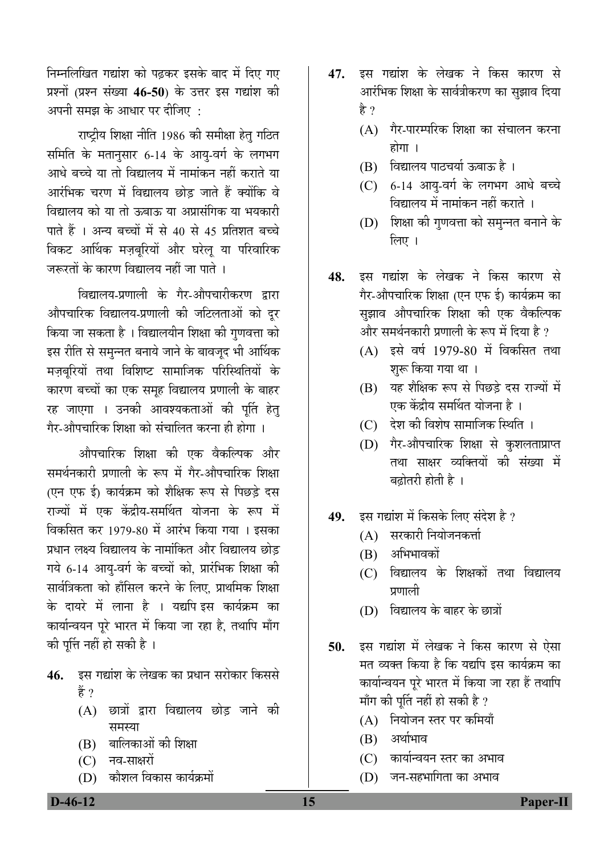निम्नलिखित गद्यांश को पढ़कर इसके बाद में दिए गए प्रश्नों (प्रश्न संख्या 46-50) के उत्तर इस गद्यांश की अपनी समझ के आधार पर दीजिए :

 $\frac{d}{dt}$ राष्ट्रीय शिक्षा नीति 1986 की समीक्षा हेतु गठित $\left| \begin{array}{cc} (A) & \frac{d}{d} & \frac{d}{d} \\ \frac{d}{d} & \frac{d}{d} & \frac{d}{d} & \frac{d}{d} \end{array} \right|$ समिति के मतानुसार 6-14 के आयु-वर्ग के लगभग आधे बच्चे या तो विद्यालय में नामांकन नहीं कराते या आरंभिक चरण में विद्यालय छोड जाते हैं क्योंकि वे विद्यालय को या तो ऊबाऊ या अप्रासंगिक या भयकारी पाते हैं । अन्य बच्चों में से 40 से 45 प्रतिशत बच्चे विकट आर्थिक मज़बुरियों और घरेलू या परिवारिक <u>जरूरतों के कारण विद्यालय नहीं जा पाते</u> ।

विद्यालय-प्रणाली के गैर-औपचारीकरण द्रारा औपचारिक विद्यालय-प्रणाली की जटिलताओं को दूर किया जा सकता है । विद्यालयीन शिक्षा की गुणवत्ता को इस रीति से समुन्नत बनाये जाने के बावजूद भी आर्थिक मज़बुरियों तथा विशिष्ट सामाजिक परिस्थितियों के कारण बच्चों का एक समह विद्यालय प्रणाली के बाहर रह जाएगा । उनकी आवश्यकताओं की पूर्ति हेत् गेर-औपचारिक शिक्षा को संचालित करना ही होगा ।

औपचारिक शिक्षा की एक वैकल्पिक और समर्थनकारी प्रणाली के रूप में गैर-औपचारिक शिक्षा (एन एफ ई) कार्यक्रम को शैक्षिक रूप से पिछडे दस राज्यों में एक केंद्रीय-समर्थित योजना के रूप में विकसित कर 1979-80 में आरंभ किया गया । इसका प्रधान लक्ष्य विद्यालय के नामांकित और विद्यालय छोड गये 6-14 आयु-वर्ग के बच्चों को, प्रारंभिक शिक्षा की सार्वत्रिकता को हाँसिल करने के लिए. प्राथमिक शिक्षा के दायरे में लाना है । यद्यपि इस कार्यक्रम का कार्यान्वयन पूरे भारत में किया जा रहा है, तथापि माँग की पत्ति नहीं हो सकी है ।

- 4**6.** इस गद्यांश के लेखक का प्रधान सरोकार किससे हैं ?
	- $(A)$  छात्रों द्वारा विद्यालय छोड़ जाने की ÃÖ´ÖõÖÖ (A) ×®ÖµÖÖê•Ö®Ö ÃŸÖ¸ü ¯Ö¸ü Ûú×´ÖµÖÖÑ
	- $\qquad \qquad \text{(B)}$  बालिकाओं की शिक्षा  $\qquad \qquad \text{(C)}$   $\qquad \qquad \text{(D)}$   $\qquad \qquad \text{(C)}$
	-
	-
- **47.** इस गद्यांश के लेखक ने किस कारण से आरंभिक शिक्षा के सार्वत्रीकरण का सुझाव दिया हे ?
	- $(A)$  गैर-पारम्परिक शिक्षा का संचालन करना
	- (B) विद्यालय पाठचर्या ऊबाऊ है ।
	- $(C)$  6-14 आयु-वर्ग के लगभग आधे बच्चे विद्यालय में नामांकन नहीं कराते ।
	- $(D)$  शिक्षा की गणवत्ता को समन्नत बनाने के लिए $\perp$
- **48.** इस गद्यांश के लेखक ने किस कारण से गैर-औपचारिक शिक्षा (एन एफ ई) कार्यक्रम का सुझाव औपचारिक शिक्षा की एक वैकल्पिक और समर्थनकारी प्रणाली के रूप में दिया है ?
	- $(A)$  इसे वर्ष 1979-80 में विकसित तथा शुरू किया गया था ।
	- (B) यह शैक्षिक रूप से पिछड़े दस राज्यों में एक केंद्रीय समर्थित योजना है ।
	- (C) देश की विशेष सामाजिक स्थिति ।
	- (D) गैर-औपचारिक शिक्षा से कुशलताप्राप्त तथा साक्षर व्यक्तियों की संख्या में बढोतरी होती है<sup>1</sup>
- **49.** ‡ÃÖ ÝÖªÖÓ¿Ö ´Öë ×ÛúÃÖÛêú ×»Ö‹ ÃÖÓ¤êü¿Ö Æîü ?
	- $(A)$  सरकारी नियोजनकर्त्ता
	- $(B)$  अभिभावकों
	- (C) विद्यालय के शिक्षकों तथा विद्यालय प्रणाली
	- (D) विद्यालय के बाहर के छात्रों
- **50.** इस गद्यांश में लेखक ने किस कारण से ऐसा मत व्यक्त किया है कि यद्यपि इस कार्यक्रम का कार्यान्वयन पूरे भारत में किया जा रहा हैं तथापि माँग की पूर्ति नहीं हो सकी है ?
	-
	-
- (C) ÛúÖµÖÖÔ®¾ÖµÖ®Ö ßָü ÛúÖ †³ÖÖ¾Ö (C) ®Ö¾Ö-ÃÖÖõÖ¸üÖë
- (D) ÛúÖî¿Ö»Ö ×¾ÖÛúÖÃÖ ÛúÖµÖÔÛÎú´ÖÖë (D) •Ö®Ö-ÃÖÆü³ÖÖ×ÝÖŸÖÖ ÛúÖ †³ÖÖ¾Ö